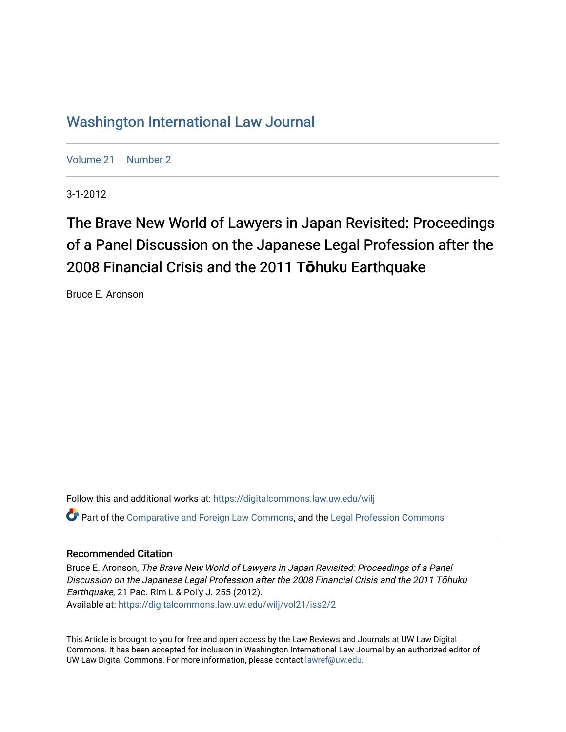# [Washington International Law Journal](https://digitalcommons.law.uw.edu/wilj)

[Volume 21](https://digitalcommons.law.uw.edu/wilj/vol21) | [Number 2](https://digitalcommons.law.uw.edu/wilj/vol21/iss2)

3-1-2012

# The Brave New World of Lawyers in Japan Revisited: Proceedings of a Panel Discussion on the Japanese Legal Profession after the 2008 Financial Crisis and the 2011 T**ō**huku Earthquake

Bruce E. Aronson

Follow this and additional works at: [https://digitalcommons.law.uw.edu/wilj](https://digitalcommons.law.uw.edu/wilj?utm_source=digitalcommons.law.uw.edu%2Fwilj%2Fvol21%2Fiss2%2F2&utm_medium=PDF&utm_campaign=PDFCoverPages)  Part of the [Comparative and Foreign Law Commons,](http://network.bepress.com/hgg/discipline/836?utm_source=digitalcommons.law.uw.edu%2Fwilj%2Fvol21%2Fiss2%2F2&utm_medium=PDF&utm_campaign=PDFCoverPages) and the [Legal Profession Commons](http://network.bepress.com/hgg/discipline/1075?utm_source=digitalcommons.law.uw.edu%2Fwilj%2Fvol21%2Fiss2%2F2&utm_medium=PDF&utm_campaign=PDFCoverPages) 

#### Recommended Citation

Bruce E. Aronson, The Brave New World of Lawyers in Japan Revisited: Proceedings of a Panel Discussion on the Japanese Legal Profession after the 2008 Financial Crisis and the 2011 Tōhuku Earthquake, 21 Pac. Rim L & Pol'y J. 255 (2012). Available at: [https://digitalcommons.law.uw.edu/wilj/vol21/iss2/2](https://digitalcommons.law.uw.edu/wilj/vol21/iss2/2?utm_source=digitalcommons.law.uw.edu%2Fwilj%2Fvol21%2Fiss2%2F2&utm_medium=PDF&utm_campaign=PDFCoverPages) 

This Article is brought to you for free and open access by the Law Reviews and Journals at UW Law Digital Commons. It has been accepted for inclusion in Washington International Law Journal by an authorized editor of UW Law Digital Commons. For more information, please contact [lawref@uw.edu](mailto:lawref@uw.edu).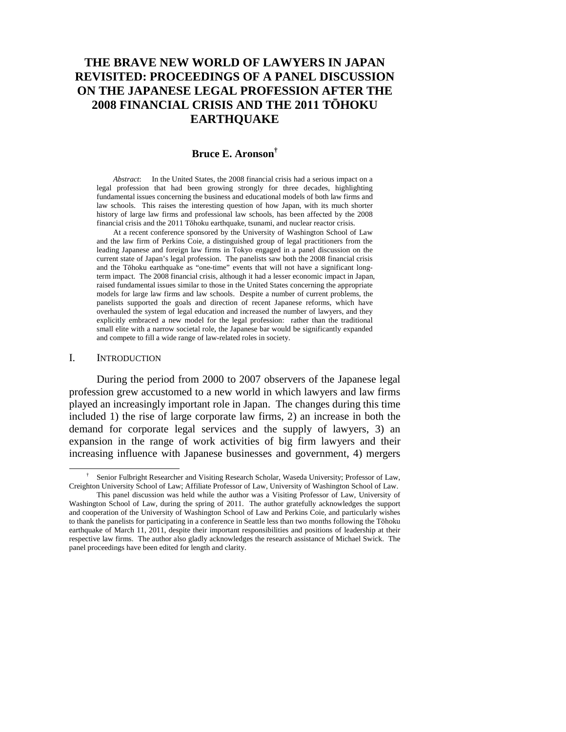## **THE BRAVE NEW WORLD OF LAWYERS IN JAPAN REVISITED: PROCEEDINGS OF A PANEL DISCUSSION ON THE JAPANESE LEGAL PROFESSION AFTER THE 2008 FINANCIAL CRISIS AND THE 2011 TŌHOKU EARTHQUAKE**

#### **Bruce E. Aronson†**

*Abstract*: In the United States, the 2008 financial crisis had a serious impact on a legal profession that had been growing strongly for three decades, highlighting fundamental issues concerning the business and educational models of both law firms and law schools. This raises the interesting question of how Japan, with its much shorter history of large law firms and professional law schools, has been affected by the 2008 financial crisis and the 2011 Tōhoku earthquake, tsunami, and nuclear reactor crisis.

At a recent conference sponsored by the University of Washington School of Law and the law firm of Perkins Coie, a distinguished group of legal practitioners from the leading Japanese and foreign law firms in Tokyo engaged in a panel discussion on the current state of Japan's legal profession. The panelists saw both the 2008 financial crisis and the Tōhoku earthquake as "one-time" events that will not have a significant longterm impact. The 2008 financial crisis, although it had a lesser economic impact in Japan, raised fundamental issues similar to those in the United States concerning the appropriate models for large law firms and law schools. Despite a number of current problems, the panelists supported the goals and direction of recent Japanese reforms, which have overhauled the system of legal education and increased the number of lawyers, and they explicitly embraced a new model for the legal profession: rather than the traditional small elite with a narrow societal role, the Japanese bar would be significantly expanded and compete to fill a wide range of law-related roles in society.

#### I. INTRODUCTION

During the period from 2000 to 2007 observers of the Japanese legal profession grew accustomed to a new world in which lawyers and law firms played an increasingly important role in Japan. The changes during this time included 1) the rise of large corporate law firms, 2) an increase in both the demand for corporate legal services and the supply of lawyers, 3) an expansion in the range of work activities of big firm lawyers and their increasing influence with Japanese businesses and government, 4) mergers

 <sup>†</sup> Senior Fulbright Researcher and Visiting Research Scholar, Waseda University; Professor of Law, Creighton University School of Law; Affiliate Professor of Law, University of Washington School of Law.

This panel discussion was held while the author was a Visiting Professor of Law, University of Washington School of Law, during the spring of 2011. The author gratefully acknowledges the support and cooperation of the University of Washington School of Law and Perkins Coie, and particularly wishes to thank the panelists for participating in a conference in Seattle less than two months following the Tōhoku earthquake of March 11, 2011, despite their important responsibilities and positions of leadership at their respective law firms. The author also gladly acknowledges the research assistance of Michael Swick. The panel proceedings have been edited for length and clarity.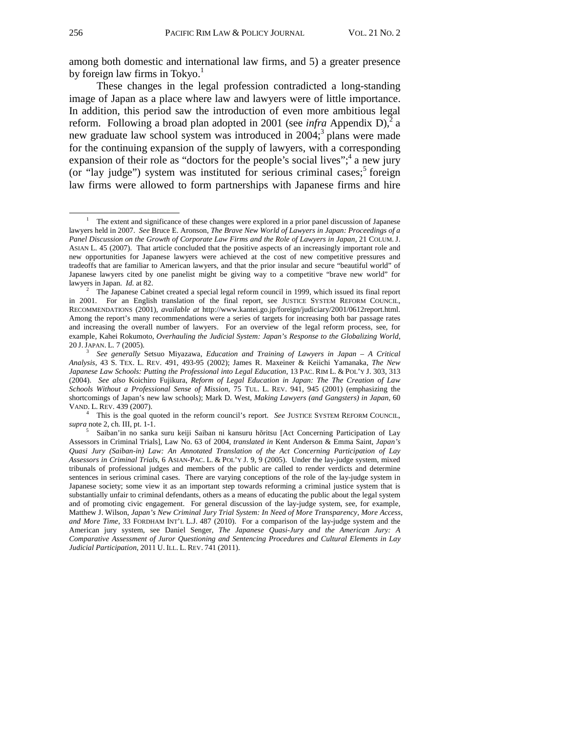among both domestic and international law firms, and 5) a greater presence by foreign law firms in Tokyo. $<sup>1</sup>$ </sup>

These changes in the legal profession contradicted a long-standing image of Japan as a place where law and lawyers were of little importance. In addition, this period saw the introduction of even more ambitious legal reform. Following a broad plan adopted in 2001 (see *infra* Appendix D),<sup>2</sup> a new graduate law school system was introduced in 2004;<sup>3</sup> plans were made for the continuing expansion of the supply of lawyers, with a corresponding expansion of their role as "doctors for the people's social lives";  $4$  a new jury (or "lay judge") system was instituted for serious criminal cases;<sup>5</sup> foreign law firms were allowed to form partnerships with Japanese firms and hire

 This is the goal quoted in the reform council's report. *See* JUSTICE SYSTEM REFORM COUNCIL, *supra* note 2, ch. III, pt. 1-1.

 $\overline{1}$  The extent and significance of these changes were explored in a prior panel discussion of Japanese lawyers held in 2007. *See* Bruce E. Aronson, *The Brave New World of Lawyers in Japan: Proceedings of a*  Panel Discussion on the Growth of Corporate Law Firms and the Role of Lawyers in Japan, 21 COLUM. J. ASIAN L. 45 (2007). That article concluded that the positive aspects of an increasingly important role and new opportunities for Japanese lawyers were achieved at the cost of new competitive pressures and tradeoffs that are familiar to American lawyers, and that the prior insular and secure "beautiful world" of Japanese lawyers cited by one panelist might be giving way to a competitive "brave new world" for lawyers in Japan. *Id.* at 82.

 $2^{\circ}$  The Japanese Cabinet created a special legal reform council in 1999, which issued its final report in 2001. For an English translation of the final report, see JUSTICE SYSTEM REFORM COUNCIL, RECOMMENDATIONS (2001), *available at* http://www.kantei.go.jp/foreign/judiciary/2001/0612report.html. Among the report's many recommendations were a series of targets for increasing both bar passage rates and increasing the overall number of lawyers. For an overview of the legal reform process, see, for example, Kahei Rokumoto, *Overhauling the Judicial System: Japan's Response to the Globalizing World*, <sup>20</sup> J.JAPAN. L. 7 (2005). 3

*See generally* Setsuo Miyazawa, *Education and Training of Lawyers in Japan – A Critical Analysis*, 43 S. TEX. L. REV. 491, 493-95 (2002); James R. Maxeiner & Keiichi Yamanaka, *The New Japanese Law Schools: Putting the Professional into Legal Education*, 13 PAC. RIM L. & POL'Y J. 303, 313 (2004). *See also* Koichiro Fujikura, *Reform of Legal Education in Japan: The The Creation of Law Schools Without a Professional Sense of Mission*, 75 TUL. L. REV. 941, 945 (2001) (emphasizing the shortcomings of Japan's new law schools); Mark D. West, *Making Lawyers (and Gangsters) in Japan*, 60 VAND. L. REV. 439 (2007). 4

<sup>&</sup>lt;sup>5</sup> Saiban'in no sanka suru keiji Saiban ni kansuru hōritsu [Act Concerning Participation of Lay Assessors in Criminal Trials], Law No. 63 of 2004, *translated in* Kent Anderson & Emma Saint, *Japan's Quasi Jury (Saiban-in) Law: An Annotated Translation of the Act Concerning Participation of Lay Assessors in Criminal Trials*, 6 ASIAN-PAC. L. & POL'Y J. 9, 9 (2005). Under the lay-judge system, mixed tribunals of professional judges and members of the public are called to render verdicts and determine sentences in serious criminal cases. There are varying conceptions of the role of the lay-judge system in Japanese society; some view it as an important step towards reforming a criminal justice system that is substantially unfair to criminal defendants, others as a means of educating the public about the legal system and of promoting civic engagement. For general discussion of the lay-judge system, see, for example*,* Matthew J. Wilson, *Japan's New Criminal Jury Trial System: In Need of More Transparency, More Access, and More Time*, 33 FORDHAM INT'L L.J. 487 (2010). For a comparison of the lay-judge system and the American jury system, see Daniel Senger, *The Japanese Quasi-Jury and the American Jury: A Comparative Assessment of Juror Questioning and Sentencing Procedures and Cultural Elements in Lay Judicial Participation*, 2011 U. ILL. L. REV. 741 (2011).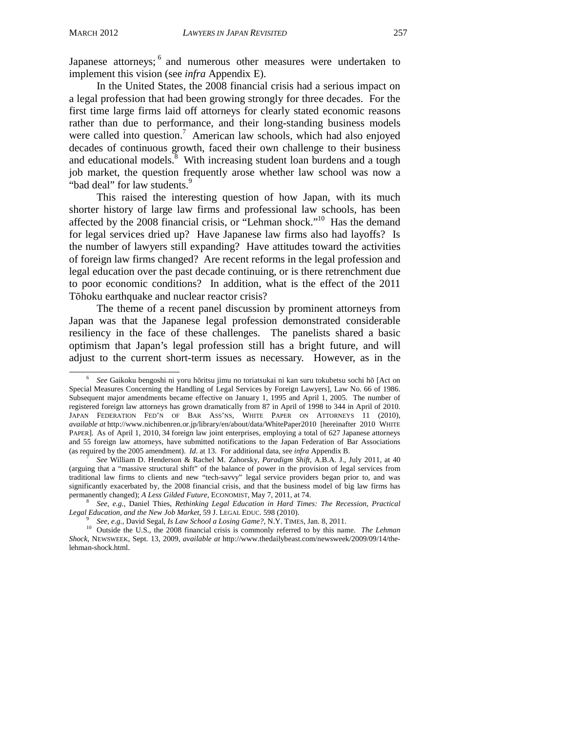Japanese attorneys; <sup>6</sup> and numerous other measures were undertaken to implement this vision (see *infra* Appendix E).

In the United States, the 2008 financial crisis had a serious impact on a legal profession that had been growing strongly for three decades. For the first time large firms laid off attorneys for clearly stated economic reasons rather than due to performance, and their long-standing business models were called into question.<sup>7</sup> American law schools, which had also enjoyed decades of continuous growth, faced their own challenge to their business and educational models. $\delta$  With increasing student loan burdens and a tough job market, the question frequently arose whether law school was now a "bad deal" for law students.<sup>9</sup>

This raised the interesting question of how Japan, with its much shorter history of large law firms and professional law schools, has been affected by the 2008 financial crisis, or "Lehman shock."<sup>10</sup> Has the demand for legal services dried up? Have Japanese law firms also had layoffs? Is the number of lawyers still expanding? Have attitudes toward the activities of foreign law firms changed? Are recent reforms in the legal profession and legal education over the past decade continuing, or is there retrenchment due to poor economic conditions? In addition, what is the effect of the 2011 Tōhoku earthquake and nuclear reactor crisis?

The theme of a recent panel discussion by prominent attorneys from Japan was that the Japanese legal profession demonstrated considerable resiliency in the face of these challenges. The panelists shared a basic optimism that Japan's legal profession still has a bright future, and will adjust to the current short-term issues as necessary. However, as in the

 $\overline{6}$  *See* Gaikoku bengoshi ni yoru hōritsu jimu no toriatsukai ni kan suru tokubetsu sochi hō [Act on Special Measures Concerning the Handling of Legal Services by Foreign Lawyers], Law No. 66 of 1986. Subsequent major amendments became effective on January 1, 1995 and April 1, 2005. The number of registered foreign law attorneys has grown dramatically from 87 in April of 1998 to 344 in April of 2010. JAPAN FEDERATION FED'N OF BAR ASS'NS, WHITE PAPER ON ATTORNEYS 11 (2010), *available at* http://www.nichibenren.or.jp/library/en/about/data/WhitePaper2010 [hereinafter 2010 WHITE PAPER]. As of April 1, 2010, 34 foreign law joint enterprises, employing a total of 627 Japanese attorneys and 55 foreign law attorneys, have submitted notifications to the Japan Federation of Bar Associations (as required by the 2005 amendment). *Id*. at 13. For additional data, see *infra* Appendix B. 7

*See* William D. Henderson & Rachel M. Zahorsky, *Paradigm Shift*, A.B.A. J., July 2011, at 40 (arguing that a "massive structural shift" of the balance of power in the provision of legal services from traditional law firms to clients and new "tech-savvy" legal service providers began prior to, and was significantly exacerbated by, the 2008 financial crisis, and that the business model of big law firms has permanently changed); *A Less Gilded Future*, ECONOMIST, May 7, 2011, at 74.

*See, e.g.*, Daniel Thies, *Rethinking Legal Education in Hard Times: The Recession, Practical Legal Education, and the New Job Market*, 59 J. LEGAL EDUC. 598 (2010).<br><sup>9</sup> *See, e.g.*, David Segal, *Is Law School a Losing Game?*, N.Y. TIMES, Jan. 8, 2011.

<sup>&</sup>lt;sup>10</sup> Outside the U.S., the 2008 financial crisis is commonly referred to by this name. *The Lehman Shock*, NEWSWEEK, Sept. 13, 2009, *available at* http://www.thedailybeast.com/newsweek/2009/09/14/thelehman-shock.html.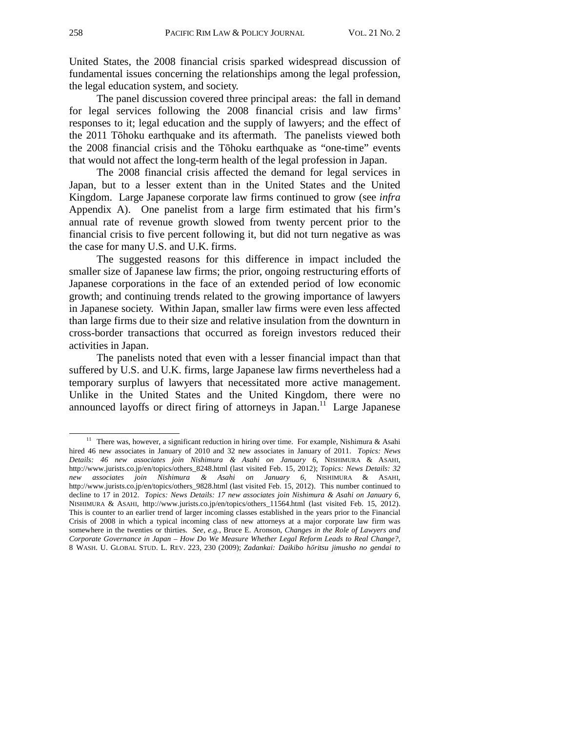United States, the 2008 financial crisis sparked widespread discussion of fundamental issues concerning the relationships among the legal profession, the legal education system, and society.

The panel discussion covered three principal areas: the fall in demand for legal services following the 2008 financial crisis and law firms' responses to it; legal education and the supply of lawyers; and the effect of the 2011 Tōhoku earthquake and its aftermath. The panelists viewed both the 2008 financial crisis and the Tōhoku earthquake as "one-time" events that would not affect the long-term health of the legal profession in Japan.

The 2008 financial crisis affected the demand for legal services in Japan, but to a lesser extent than in the United States and the United Kingdom. Large Japanese corporate law firms continued to grow (see *infra*  Appendix A). One panelist from a large firm estimated that his firm's annual rate of revenue growth slowed from twenty percent prior to the financial crisis to five percent following it, but did not turn negative as was the case for many U.S. and U.K. firms.

The suggested reasons for this difference in impact included the smaller size of Japanese law firms; the prior, ongoing restructuring efforts of Japanese corporations in the face of an extended period of low economic growth; and continuing trends related to the growing importance of lawyers in Japanese society. Within Japan, smaller law firms were even less affected than large firms due to their size and relative insulation from the downturn in cross-border transactions that occurred as foreign investors reduced their activities in Japan.

The panelists noted that even with a lesser financial impact than that suffered by U.S. and U.K. firms, large Japanese law firms nevertheless had a temporary surplus of lawyers that necessitated more active management. Unlike in the United States and the United Kingdom, there were no announced layoffs or direct firing of attorneys in Japan.<sup>11</sup> Large Japanese

<sup>&</sup>lt;sup>11</sup> There was, however, a significant reduction in hiring over time. For example, Nishimura & Asahi hired 46 new associates in January of 2010 and 32 new associates in January of 2011. *Topics: News Details: 46 new associates join Nishimura & Asahi on January 6*, NISHIMURA & ASAHI, http://www.jurists.co.jp/en/topics/others\_8248.html (last visited Feb. 15, 2012); *Topics: News Details: 32 new associates join Nishimura & Asahi on January 6*, NISHIMURA & ASAHI, http://www.jurists.co.jp/en/topics/others\_9828.html (last visited Feb. 15, 2012). This number continued to decline to 17 in 2012. *Topics: News Details: 17 new associates join Nishimura & Asahi on January 6*, NISHIMURA & ASAHI, http://www.jurists.co.jp/en/topics/others\_11564.html (last visited Feb. 15, 2012). This is counter to an earlier trend of larger incoming classes established in the years prior to the Financial Crisis of 2008 in which a typical incoming class of new attorneys at a major corporate law firm was somewhere in the twenties or thirties. *See, e.g.*, Bruce E. Aronson, *Changes in the Role of Lawyers and Corporate Governance in Japan – How Do We Measure Whether Legal Reform Leads to Real Change?*, 8 WASH. U. GLOBAL STUD. L. REV. 223, 230 (2009); *Zadankai: Daikibo hōritsu jimusho no gendai to*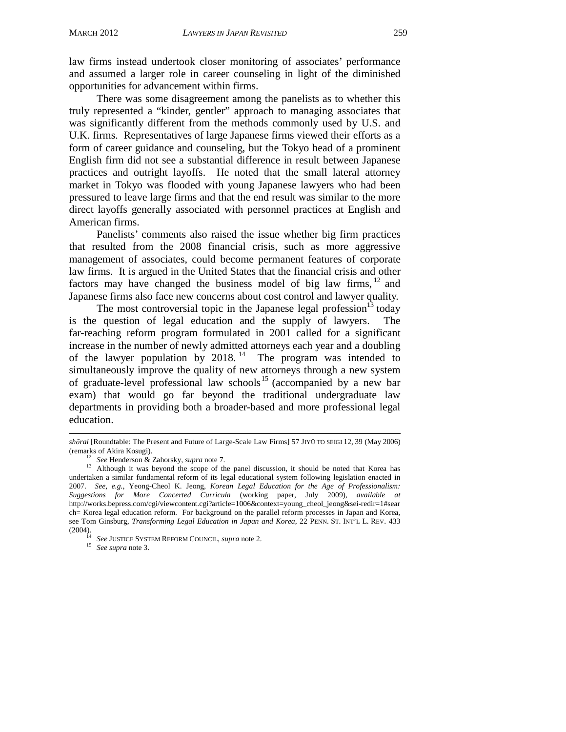law firms instead undertook closer monitoring of associates' performance and assumed a larger role in career counseling in light of the diminished opportunities for advancement within firms.

There was some disagreement among the panelists as to whether this truly represented a "kinder, gentler" approach to managing associates that was significantly different from the methods commonly used by U.S. and U.K. firms. Representatives of large Japanese firms viewed their efforts as a form of career guidance and counseling, but the Tokyo head of a prominent English firm did not see a substantial difference in result between Japanese practices and outright layoffs. He noted that the small lateral attorney market in Tokyo was flooded with young Japanese lawyers who had been pressured to leave large firms and that the end result was similar to the more direct layoffs generally associated with personnel practices at English and American firms.

Panelists' comments also raised the issue whether big firm practices that resulted from the 2008 financial crisis, such as more aggressive management of associates, could become permanent features of corporate law firms. It is argued in the United States that the financial crisis and other factors may have changed the business model of big law firms, <sup>12</sup> and Japanese firms also face new concerns about cost control and lawyer quality.

The most controversial topic in the Japanese legal profession $13$  today is the question of legal education and the supply of lawyers. The far-reaching reform program formulated in 2001 called for a significant increase in the number of newly admitted attorneys each year and a doubling of the lawyer population by  $2018$ .<sup>14</sup> The program was intended to simultaneously improve the quality of new attorneys through a new system of graduate-level professional law schools 15 (accompanied by a new bar exam) that would go far beyond the traditional undergraduate law departments in providing both a broader-based and more professional legal education.

j *shōrai* [Roundtable: The Present and Future of Large-Scale Law Firms] 57 JIYŪ TO SEIGI 12, 39 (May 2006)

<sup>(</sup>remarks of Akira Kosugi). 12 *See* Henderson & Zahorsky, *supra* note 7. 13 Although it was beyond the scope of the panel discussion, it should be noted that Korea has undertaken a similar fundamental reform of its legal educational system following legislation enacted in 2007. *See, e.g.*, Yeong-Cheol K. Jeong, *Korean Legal Education for the Age of Professionalism: Suggestions for More Concerted Curricula* (working paper, July 2009), *available at* http://works.bepress.com/cgi/viewcontent.cgi?article=1006&context=young\_cheol\_jeong&sei-redir=1#sear ch= Korea legal education reform. For background on the parallel reform processes in Japan and Korea, see Tom Ginsburg, *Transforming Legal Education in Japan and Korea*, 22 PENN. ST. INT'L L. REV. 433 (2004). 14 *See* JUSTICE SYSTEM REFORM COUNCIL, *supra* note 2. 15 *See supra* note 3.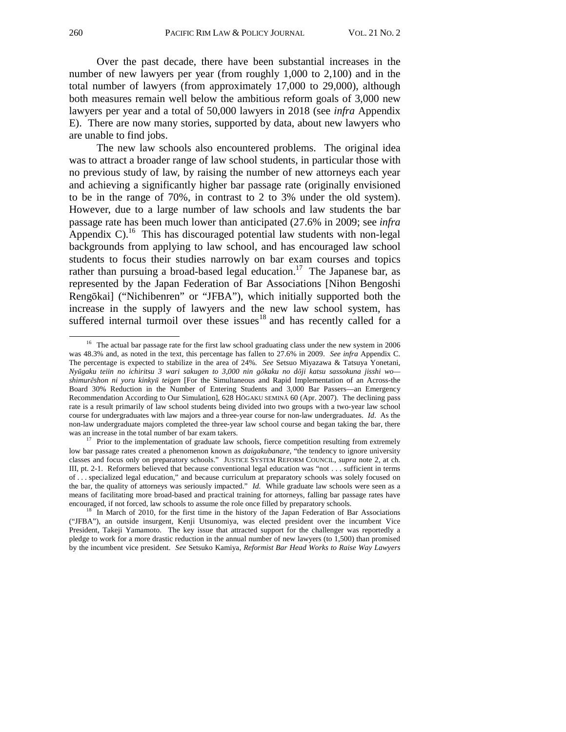Over the past decade, there have been substantial increases in the number of new lawyers per year (from roughly 1,000 to 2,100) and in the total number of lawyers (from approximately 17,000 to 29,000), although both measures remain well below the ambitious reform goals of 3,000 new lawyers per year and a total of 50,000 lawyers in 2018 (see *infra* Appendix E). There are now many stories, supported by data, about new lawyers who are unable to find jobs.

The new law schools also encountered problems. The original idea was to attract a broader range of law school students, in particular those with no previous study of law, by raising the number of new attorneys each year and achieving a significantly higher bar passage rate (originally envisioned to be in the range of 70%, in contrast to 2 to 3% under the old system). However, due to a large number of law schools and law students the bar passage rate has been much lower than anticipated (27.6% in 2009; see *infra*  Appendix C).<sup>16</sup> This has discouraged potential law students with non-legal backgrounds from applying to law school, and has encouraged law school students to focus their studies narrowly on bar exam courses and topics rather than pursuing a broad-based legal education.<sup>17</sup> The Japanese bar, as represented by the Japan Federation of Bar Associations [Nihon Bengoshi Rengōkai] ("Nichibenren" or "JFBA"), which initially supported both the increase in the supply of lawyers and the new law school system, has suffered internal turmoil over these issues<sup>18</sup> and has recently called for a

<sup>&</sup>lt;sup>16</sup> The actual bar passage rate for the first law school graduating class under the new system in 2006 was 48.3% and, as noted in the text, this percentage has fallen to 27.6% in 2009. *See infra* Appendix C. The percentage is expected to stabilize in the area of 24%. *See* Setsuo Miyazawa & Tatsuya Yonetani*, Nyūgaku teiin no ichiritsu 3 wari sakugen to 3,000 nin gōkaku no dōji katsu sassokuna jisshi wo shimurēshon ni yoru kinkyū teigen* [For the Simultaneous and Rapid Implementation of an Across-the Board 30% Reduction in the Number of Entering Students and 3,000 Bar Passers—an Emergency Recommendation According to Our Simulation], 628 HŌGAKU SEMINĀ 60 (Apr. 2007). The declining pass rate is a result primarily of law school students being divided into two groups with a two-year law school course for undergraduates with law majors and a three-year course for non-law undergraduates. *Id*. As the non-law undergraduate majors completed the three-year law school course and began taking the bar, there was an increase in the total number of bar exam takers.<br><sup>17</sup> Prior to the implementation of graduate law schools, fierce competition resulting from extremely

low bar passage rates created a phenomenon known as *daigakubanare,* "the tendency to ignore university classes and focus only on preparatory schools." JUSTICE SYSTEM REFORM COUNCIL, *supra* note 2, at ch. III, pt. 2-1. Reformers believed that because conventional legal education was "not . . . sufficient in terms of . . . specialized legal education," and because curriculum at preparatory schools was solely focused on the bar, the quality of attorneys was seriously impacted." *Id.* While graduate law schools were seen as a means of facilitating more broad-based and practical training for attorneys, falling bar passage rates have encouraged, if not forced, law schools to assume the role once filled by preparatory schools.

 $\frac{18}{18}$  In March of 2010, for the first time in the history of the Japan Federation of Bar Associations. ("JFBA"), an outside insurgent, Kenji Utsunomiya, was elected president over the incumbent Vice President, Takeji Yamamoto. The key issue that attracted support for the challenger was reportedly a pledge to work for a more drastic reduction in the annual number of new lawyers (to 1,500) than promised by the incumbent vice president. *See* Setsuko Kamiya, *Reformist Bar Head Works to Raise Way Lawyers*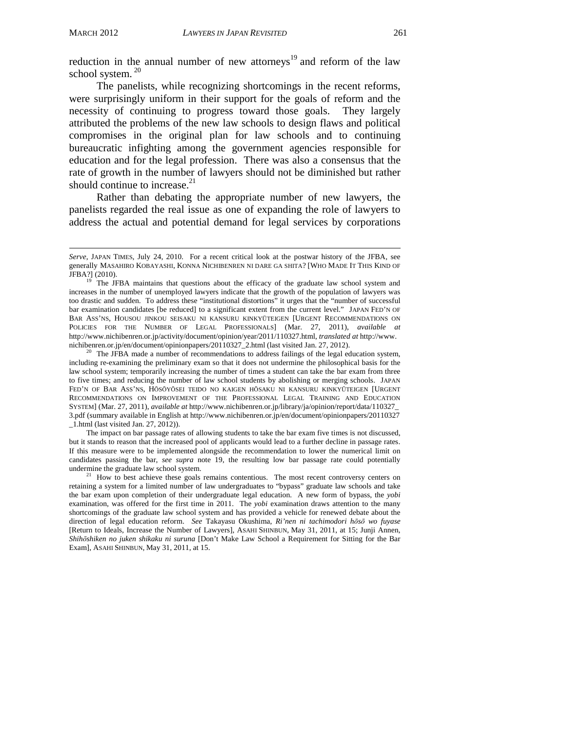$\overline{\phantom{0}}$ 

reduction in the annual number of new attorneys<sup>19</sup> and reform of the law school system.<sup>20</sup>

The panelists, while recognizing shortcomings in the recent reforms, were surprisingly uniform in their support for the goals of reform and the necessity of continuing to progress toward those goals. They largely attributed the problems of the new law schools to design flaws and political compromises in the original plan for law schools and to continuing bureaucratic infighting among the government agencies responsible for education and for the legal profession. There was also a consensus that the rate of growth in the number of lawyers should not be diminished but rather should continue to increase. $^{21}$ 

Rather than debating the appropriate number of new lawyers, the panelists regarded the real issue as one of expanding the role of lawyers to address the actual and potential demand for legal services by corporations

<sup>20</sup> The JFBA made a number of recommendations to address failings of the legal education system, including re-examining the preliminary exam so that it does not undermine the philosophical basis for the law school system; temporarily increasing the number of times a student can take the bar exam from three to five times; and reducing the number of law school students by abolishing or merging schools. JAPAN FED'N OF BAR ASS'NS, HŌSŌYŌSEI TEIDO NO KAIGEN HŌSAKU NI KANSURU KINKYŪTEIGEN [URGENT RECOMMENDATIONS ON IMPROVEMENT OF THE PROFESSIONAL LEGAL TRAINING AND EDUCATION SYSTEM] (Mar. 27, 2011), *available at* http://www.nichibenren.or.jp/library/ja/opinion/report/data/110327\_ 3.pdf (summary available in English at http://www.nichibenren.or.jp/en/document/opinionpapers/20110327 \_1.html (last visited Jan. 27, 2012)).

The impact on bar passage rates of allowing students to take the bar exam five times is not discussed, but it stands to reason that the increased pool of applicants would lead to a further decline in passage rates. If this measure were to be implemented alongside the recommendation to lower the numerical limit on candidates passing the bar, *see supra* note 19, the resulting low bar passage rate could potentially undermine the graduate law school system.<br><sup>21</sup> How to best achieve these goals remains contentious. The most recent controversy centers on

retaining a system for a limited number of law undergraduates to "bypass" graduate law schools and take the bar exam upon completion of their undergraduate legal education. A new form of bypass, the *yobi*  examination, was offered for the first time in 2011. The *yobi* examination draws attention to the many shortcomings of the graduate law school system and has provided a vehicle for renewed debate about the direction of legal education reform. *See* Takayasu Okushima, *Ri'nen ni tachimodori hōsō wo fuyase* [Return to Ideals, Increase the Number of Lawyers], ASAHI SHINBUN, May 31, 2011, at 15; Junji Annen, *Shihōshiken no juken shikaku ni suruna* [Don't Make Law School a Requirement for Sitting for the Bar Exam], ASAHI SHINBUN, May 31, 2011, at 15.

*Serve*, JAPAN TIMES, July 24, 2010. For a recent critical look at the postwar history of the JFBA, see generally MASAHIRO KOBAYASHI, KONNA NICHIBENREN NI DARE GA SHITA? [WHO MADE IT THIS KIND OF JFBA?] (2010). 19 The JFBA maintains that questions about the efficacy of the graduate law school system and

increases in the number of unemployed lawyers indicate that the growth of the population of lawyers was too drastic and sudden. To address these "institutional distortions" it urges that the "number of successful bar examination candidates [be reduced] to a significant extent from the current level." JAPAN FED'N OF BAR ASS'NS, HOUSOU JINKOU SEISAKU NI KANSURU KINKYŪTEIGEN [URGENT RECOMMENDATIONS ON POLICIES FOR THE NUMBER OF LEGAL PROFESSIONALS] (Mar. 27, 2011), *available at* http://www.nichibenren.or.jp/activity/document/opinion/year/2011/110327.html, *translated at* http://www.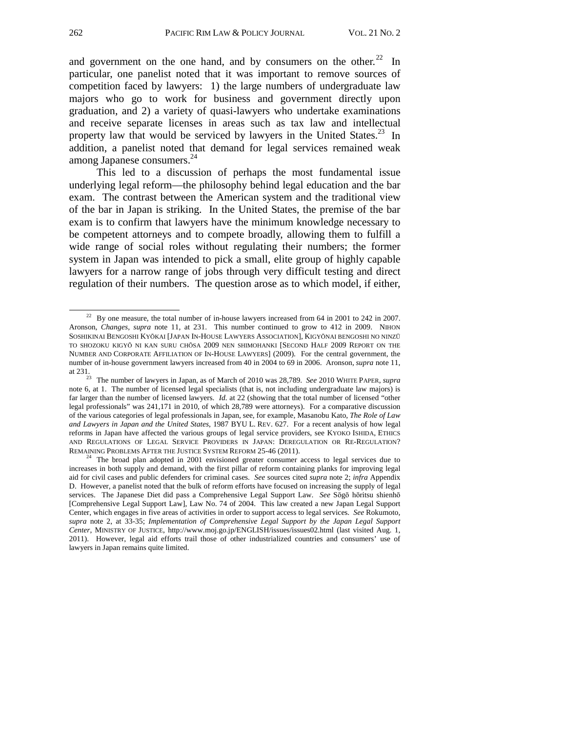and government on the one hand, and by consumers on the other. $22 \text{ In}$ particular, one panelist noted that it was important to remove sources of competition faced by lawyers: 1) the large numbers of undergraduate law majors who go to work for business and government directly upon graduation, and 2) a variety of quasi-lawyers who undertake examinations and receive separate licenses in areas such as tax law and intellectual property law that would be serviced by lawyers in the United States. $^{23}$  In addition, a panelist noted that demand for legal services remained weak among Japanese consumers.<sup>24</sup>

This led to a discussion of perhaps the most fundamental issue underlying legal reform—the philosophy behind legal education and the bar exam. The contrast between the American system and the traditional view of the bar in Japan is striking. In the United States, the premise of the bar exam is to confirm that lawyers have the minimum knowledge necessary to be competent attorneys and to compete broadly, allowing them to fulfill a wide range of social roles without regulating their numbers; the former system in Japan was intended to pick a small, elite group of highly capable lawyers for a narrow range of jobs through very difficult testing and direct regulation of their numbers. The question arose as to which model, if either,

 $22$  By one measure, the total number of in-house lawyers increased from 64 in 2001 to 242 in 2007. Aronson, *Changes*, *supra* note 11, at 231. This number continued to grow to 412 in 2009. NIHON SOSHIKINAI BENGOSHI KYŌKAI [JAPAN IN-HOUSE LAWYERS ASSOCIATION], KIGYŌNAI BENGOSHI NO NINZŪ TO SHOZOKU KIGYŌ NI KAN SURU CHŌSA 2009 NEN SHIMOHANKI [SECOND HALF 2009 REPORT ON THE NUMBER AND CORPORATE AFFILIATION OF IN-HOUSE LAWYERS] (2009). For the central government, the number of in-house government lawyers increased from 40 in 2004 to 69 in 2006. Aronson, *supra* note 11, at 231. 23 The number of lawyers in Japan, as of March of 2010 was 28,789. *See* 2010 WHITE PAPER, *supra* 

note 6, at 1. The number of licensed legal specialists (that is, not including undergraduate law majors) is far larger than the number of licensed lawyers. *Id.* at 22 (showing that the total number of licensed "other legal professionals" was 241,171 in 2010, of which 28,789 were attorneys). For a comparative discussion of the various categories of legal professionals in Japan, see, for example, Masanobu Kato, *The Role of Law and Lawyers in Japan and the United States*, 1987 BYU L. REV. 627. For a recent analysis of how legal reforms in Japan have affected the various groups of legal service providers, see KYOKO ISHIDA, ETHICS AND REGULATIONS OF LEGAL SERVICE PROVIDERS IN JAPAN: DEREGULATION OR RE-REGULATION? REMAINING PROBLEMS AFTER THE JUSTICE SYSTEM REFORM 25-46 (2011).<br><sup>24</sup> The broad plan adopted in 2001 envisioned greater consumer access to legal services due to

increases in both supply and demand, with the first pillar of reform containing planks for improving legal aid for civil cases and public defenders for criminal cases. *See* sources cited *supra* note 2; *infra* Appendix D. However, a panelist noted that the bulk of reform efforts have focused on increasing the supply of legal services. The Japanese Diet did pass a Comprehensive Legal Support Law. *See* Sōgō hōritsu shienhō [Comprehensive Legal Support Law], Law No. 74 of 2004. This law created a new Japan Legal Support Center, which engages in five areas of activities in order to support access to legal services. *See* Rokumoto, *supra* note 2, at 33-35; *Implementation of Comprehensive Legal Support by the Japan Legal Support Center*, MINISTRY OF JUSTICE, http://www.moj.go.jp/ENGLISH/issues/issues02.html (last visited Aug. 1, 2011). However, legal aid efforts trail those of other industrialized countries and consumers' use of lawyers in Japan remains quite limited.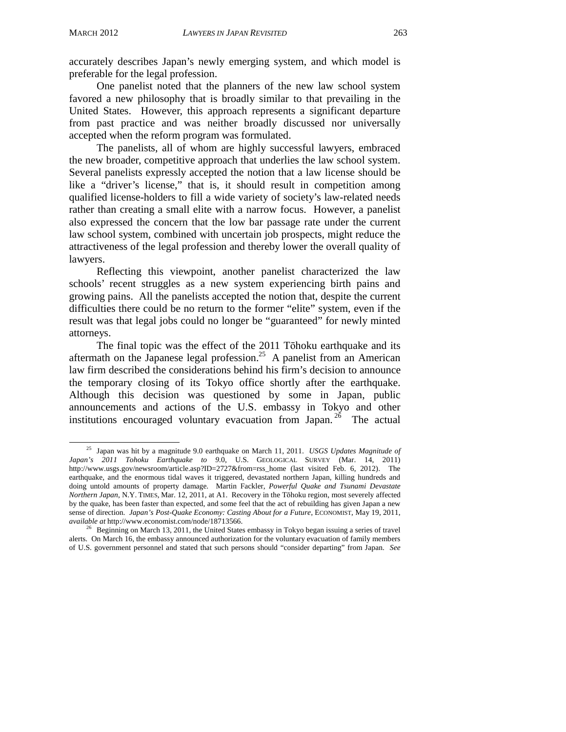accurately describes Japan's newly emerging system, and which model is preferable for the legal profession.

One panelist noted that the planners of the new law school system favored a new philosophy that is broadly similar to that prevailing in the United States. However, this approach represents a significant departure from past practice and was neither broadly discussed nor universally accepted when the reform program was formulated.

The panelists, all of whom are highly successful lawyers, embraced the new broader, competitive approach that underlies the law school system. Several panelists expressly accepted the notion that a law license should be like a "driver's license," that is, it should result in competition among qualified license-holders to fill a wide variety of society's law-related needs rather than creating a small elite with a narrow focus. However, a panelist also expressed the concern that the low bar passage rate under the current law school system, combined with uncertain job prospects, might reduce the attractiveness of the legal profession and thereby lower the overall quality of lawyers.

Reflecting this viewpoint, another panelist characterized the law schools' recent struggles as a new system experiencing birth pains and growing pains. All the panelists accepted the notion that, despite the current difficulties there could be no return to the former "elite" system, even if the result was that legal jobs could no longer be "guaranteed" for newly minted attorneys.

The final topic was the effect of the 2011 Tōhoku earthquake and its aftermath on the Japanese legal profession.<sup>25</sup> A panelist from an American law firm described the considerations behind his firm's decision to announce the temporary closing of its Tokyo office shortly after the earthquake. Although this decision was questioned by some in Japan, public announcements and actions of the U.S. embassy in Tokyo and other institutions encouraged voluntary evacuation from Japan.<sup>26</sup> The actual

 <sup>25</sup> Japan was hit by a magnitude 9.0 earthquake on March 11, 2011. *USGS Updates Magnitude of Japan's 2011 Tohoku Earthquake to 9.*0, U.S. GEOLOGICAL SURVEY (Mar. 14, 2011) http://www.usgs.gov/newsroom/article.asp?ID=2727&from=rss\_home (last visited Feb. 6, 2012). The earthquake, and the enormous tidal waves it triggered, devastated northern Japan, killing hundreds and doing untold amounts of property damage. Martin Fackler, *Powerful Quake and Tsunami Devastate Northern Japan*, N.Y. TIMES, Mar. 12, 2011, at A1. Recovery in the Tōhoku region, most severely affected by the quake, has been faster than expected, and some feel that the act of rebuilding has given Japan a new sense of direction. *Japan's Post-Quake Economy: Casting About for a Future*, ECONOMIST, May 19, 2011,

*available at* http://www.economist.com/node/18713566.<br><sup>26</sup> Beginning on March 13, 2011, the United States embassy in Tokyo began issuing a series of travel alerts. On March 16, the embassy announced authorization for the voluntary evacuation of family members of U.S. government personnel and stated that such persons should "consider departing" from Japan. *See*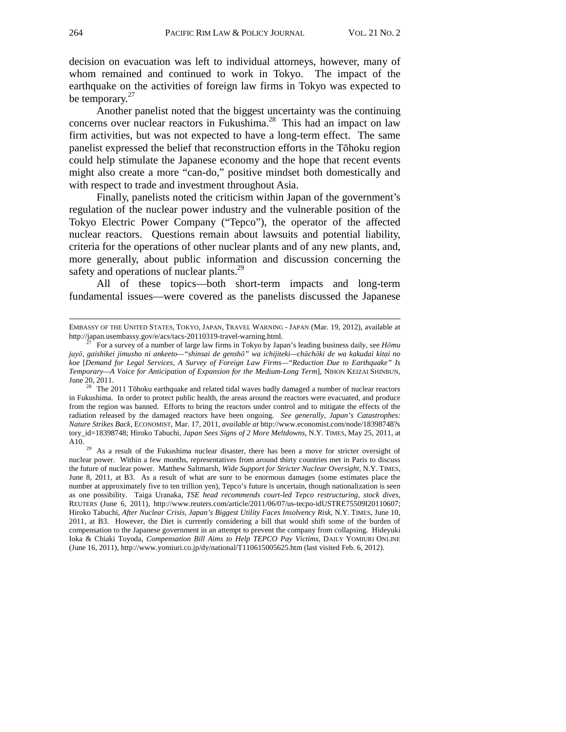decision on evacuation was left to individual attorneys, however, many of whom remained and continued to work in Tokyo. The impact of the earthquake on the activities of foreign law firms in Tokyo was expected to be temporary. $27$ 

Another panelist noted that the biggest uncertainty was the continuing concerns over nuclear reactors in Fukushima.<sup>28</sup> This had an impact on law firm activities, but was not expected to have a long-term effect. The same panelist expressed the belief that reconstruction efforts in the Tōhoku region could help stimulate the Japanese economy and the hope that recent events might also create a more "can-do," positive mindset both domestically and with respect to trade and investment throughout Asia.

Finally, panelists noted the criticism within Japan of the government's regulation of the nuclear power industry and the vulnerable position of the Tokyo Electric Power Company ("Tepco"), the operator of the affected nuclear reactors. Questions remain about lawsuits and potential liability, criteria for the operations of other nuclear plants and of any new plants, and, more generally, about public information and discussion concerning the safety and operations of nuclear plants.<sup>29</sup>

All of these topics—both short-term impacts and long-term fundamental issues—were covered as the panelists discussed the Japanese

j

EMBASSY OF THE UNITED STATES, TOKYO, JAPAN, TRAVEL WARNING - JAPAN (Mar. 19, 2012), available at http://japan.usembassy.gov/e/acs/tacs-20110319-travel-warning.html. 27 For a survey of a number of large law firms in Tokyo by Japan's leading business daily, see *Hōmu* 

*juyō, gaishikei jimusho ni ankeeto—"shinsai de genshō" wa ichijiteki—chūchōki de wa kakudai kitai no koe* [*Demand for Legal Services, A Survey of Foreign Law Firms—"Reduction Due to Earthquake" Is Temporary—A Voice for Anticipation of Expansion for the Medium-Long Term*], NIHON KEIZAI SHINBUN, June 20, 2011.

 $28$  The 2011 Tōhoku earthquake and related tidal waves badly damaged a number of nuclear reactors in Fukushima. In order to protect public health, the areas around the reactors were evacuated, and produce from the region was banned. Efforts to bring the reactors under control and to mitigate the effects of the radiation released by the damaged reactors have been ongoing. *See generally*, *Japan's Catastrophes: Nature Strikes Back*, ECONOMIST, Mar. 17, 2011, *available at* http://www.economist.com/node/18398748?s tory\_id=18398748; Hiroko Tabuchi, *Japan Sees Signs of 2 More Meltdowns*, N.Y. TIMES, May 25, 2011, at A10. <sup>29</sup> As a result of the Fukushima nuclear disaster, there has been a move for stricter oversight of

nuclear power. Within a few months, representatives from around thirty countries met in Paris to discuss the future of nuclear power. Matthew Saltmarsh, *Wide Support for Stricter Nuclear Oversight*, N.Y. TIMES, June 8, 2011, at B3. As a result of what are sure to be enormous damages (some estimates place the number at approximately five to ten trillion yen), Tepco's future is uncertain, though nationalization is seen as one possibility. Taiga Uranaka, *TSE head recommends court-led Tepco restructuring, stock dives*, REUTERS (June 6, 2011), http://www.reuters.com/article/2011/06/07/us-tecpo-idUSTRE75509I20110607; Hiroko Tabuchi, *After Nuclear Crisis, Japan's Biggest Utility Faces Insolvency Risk*, N.Y. TIMES, June 10, 2011, at B3. However, the Diet is currently considering a bill that would shift some of the burden of compensation to the Japanese government in an attempt to prevent the company from collapsing. Hideyuki Ioka & Chiaki Toyoda, *Compensation Bill Aims to Help TEPCO Pay Victims*, DAILY YOMIURI ONLINE (June 16, 2011), http://www.yomiuri.co.jp/dy/national/T110615005625.htm (last visited Feb. 6, 2012).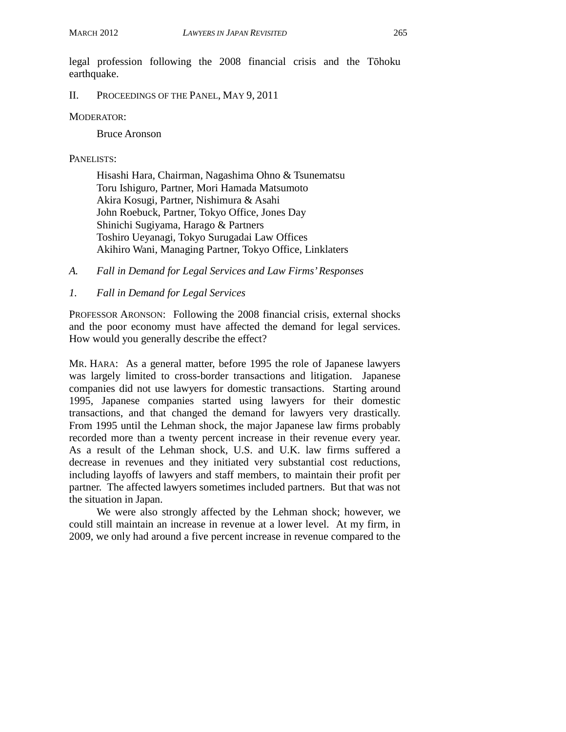legal profession following the 2008 financial crisis and the Tōhoku earthquake.

II. PROCEEDINGS OF THE PANEL, MAY 9, 2011

#### MODERATOR:

Bruce Aronson

#### PANELISTS:

Hisashi Hara, Chairman, Nagashima Ohno & Tsunematsu Toru Ishiguro, Partner, Mori Hamada Matsumoto Akira Kosugi, Partner, Nishimura & Asahi John Roebuck, Partner, Tokyo Office, Jones Day Shinichi Sugiyama, Harago & Partners Toshiro Ueyanagi, Tokyo Surugadai Law Offices Akihiro Wani, Managing Partner, Tokyo Office, Linklaters

- *A. Fall in Demand for Legal Services and Law Firms' Responses*
- *1. Fall in Demand for Legal Services*

PROFESSOR ARONSON: Following the 2008 financial crisis, external shocks and the poor economy must have affected the demand for legal services. How would you generally describe the effect?

MR. HARA: As a general matter, before 1995 the role of Japanese lawyers was largely limited to cross-border transactions and litigation. Japanese companies did not use lawyers for domestic transactions. Starting around 1995, Japanese companies started using lawyers for their domestic transactions, and that changed the demand for lawyers very drastically. From 1995 until the Lehman shock, the major Japanese law firms probably recorded more than a twenty percent increase in their revenue every year. As a result of the Lehman shock, U.S. and U.K. law firms suffered a decrease in revenues and they initiated very substantial cost reductions, including layoffs of lawyers and staff members, to maintain their profit per partner. The affected lawyers sometimes included partners. But that was not the situation in Japan.

We were also strongly affected by the Lehman shock; however, we could still maintain an increase in revenue at a lower level. At my firm, in 2009, we only had around a five percent increase in revenue compared to the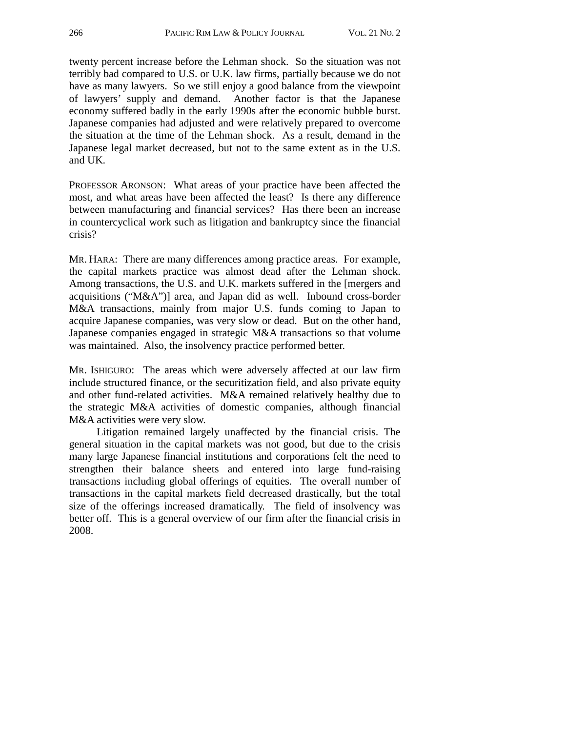twenty percent increase before the Lehman shock. So the situation was not terribly bad compared to U.S. or U.K. law firms, partially because we do not have as many lawyers. So we still enjoy a good balance from the viewpoint of lawyers' supply and demand. Another factor is that the Japanese economy suffered badly in the early 1990s after the economic bubble burst. Japanese companies had adjusted and were relatively prepared to overcome the situation at the time of the Lehman shock. As a result, demand in the Japanese legal market decreased, but not to the same extent as in the U.S. and UK.

PROFESSOR ARONSON: What areas of your practice have been affected the most, and what areas have been affected the least? Is there any difference between manufacturing and financial services? Has there been an increase in countercyclical work such as litigation and bankruptcy since the financial crisis?

MR. HARA: There are many differences among practice areas. For example, the capital markets practice was almost dead after the Lehman shock. Among transactions, the U.S. and U.K. markets suffered in the [mergers and acquisitions ("M&A")] area, and Japan did as well. Inbound cross-border M&A transactions, mainly from major U.S. funds coming to Japan to acquire Japanese companies, was very slow or dead. But on the other hand, Japanese companies engaged in strategic M&A transactions so that volume was maintained. Also, the insolvency practice performed better.

MR. ISHIGURO: The areas which were adversely affected at our law firm include structured finance, or the securitization field, and also private equity and other fund-related activities. M&A remained relatively healthy due to the strategic M&A activities of domestic companies, although financial M&A activities were very slow.

Litigation remained largely unaffected by the financial crisis. The general situation in the capital markets was not good, but due to the crisis many large Japanese financial institutions and corporations felt the need to strengthen their balance sheets and entered into large fund-raising transactions including global offerings of equities. The overall number of transactions in the capital markets field decreased drastically, but the total size of the offerings increased dramatically. The field of insolvency was better off. This is a general overview of our firm after the financial crisis in 2008.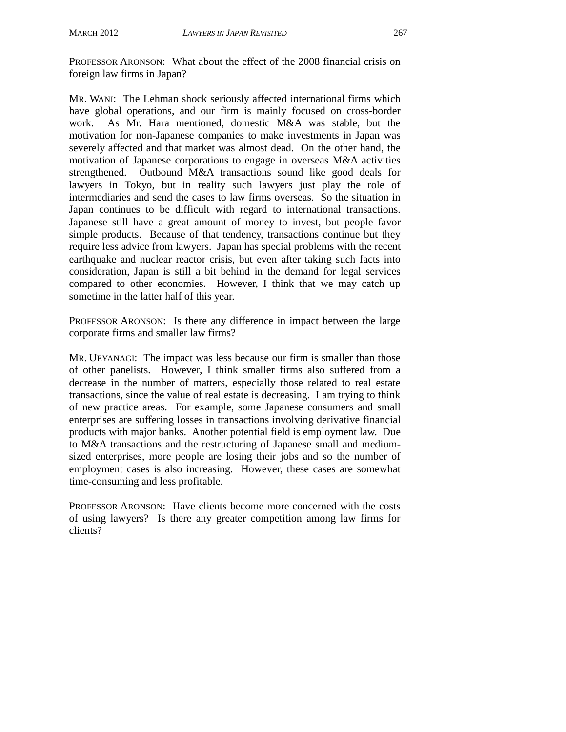PROFESSOR ARONSON: What about the effect of the 2008 financial crisis on foreign law firms in Japan?

MR. WANI: The Lehman shock seriously affected international firms which have global operations, and our firm is mainly focused on cross-border work. As Mr. Hara mentioned, domestic M&A was stable, but the motivation for non-Japanese companies to make investments in Japan was severely affected and that market was almost dead. On the other hand, the motivation of Japanese corporations to engage in overseas M&A activities strengthened. Outbound M&A transactions sound like good deals for lawyers in Tokyo, but in reality such lawyers just play the role of intermediaries and send the cases to law firms overseas. So the situation in Japan continues to be difficult with regard to international transactions. Japanese still have a great amount of money to invest, but people favor simple products. Because of that tendency, transactions continue but they require less advice from lawyers. Japan has special problems with the recent earthquake and nuclear reactor crisis, but even after taking such facts into consideration, Japan is still a bit behind in the demand for legal services compared to other economies. However, I think that we may catch up sometime in the latter half of this year.

PROFESSOR ARONSON: Is there any difference in impact between the large corporate firms and smaller law firms?

MR. UEYANAGI: The impact was less because our firm is smaller than those of other panelists. However, I think smaller firms also suffered from a decrease in the number of matters, especially those related to real estate transactions, since the value of real estate is decreasing. I am trying to think of new practice areas. For example, some Japanese consumers and small enterprises are suffering losses in transactions involving derivative financial products with major banks. Another potential field is employment law. Due to M&A transactions and the restructuring of Japanese small and mediumsized enterprises, more people are losing their jobs and so the number of employment cases is also increasing. However, these cases are somewhat time-consuming and less profitable.

PROFESSOR ARONSON: Have clients become more concerned with the costs of using lawyers? Is there any greater competition among law firms for clients?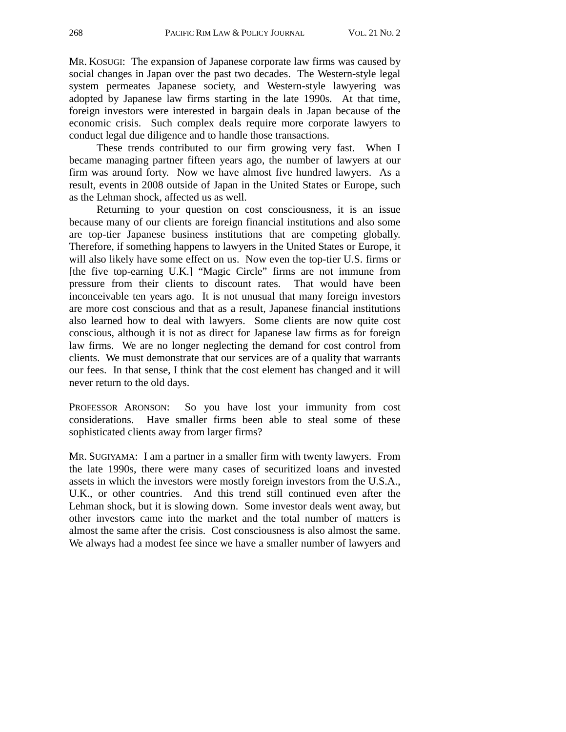MR. KOSUGI: The expansion of Japanese corporate law firms was caused by social changes in Japan over the past two decades. The Western-style legal system permeates Japanese society, and Western-style lawyering was adopted by Japanese law firms starting in the late 1990s. At that time, foreign investors were interested in bargain deals in Japan because of the economic crisis. Such complex deals require more corporate lawyers to conduct legal due diligence and to handle those transactions.

These trends contributed to our firm growing very fast. When I became managing partner fifteen years ago, the number of lawyers at our firm was around forty. Now we have almost five hundred lawyers. As a result, events in 2008 outside of Japan in the United States or Europe, such as the Lehman shock, affected us as well.

Returning to your question on cost consciousness, it is an issue because many of our clients are foreign financial institutions and also some are top-tier Japanese business institutions that are competing globally. Therefore, if something happens to lawyers in the United States or Europe, it will also likely have some effect on us. Now even the top-tier U.S. firms or [the five top-earning U.K.] "Magic Circle" firms are not immune from pressure from their clients to discount rates. That would have been inconceivable ten years ago. It is not unusual that many foreign investors are more cost conscious and that as a result, Japanese financial institutions also learned how to deal with lawyers. Some clients are now quite cost conscious, although it is not as direct for Japanese law firms as for foreign law firms. We are no longer neglecting the demand for cost control from clients. We must demonstrate that our services are of a quality that warrants our fees. In that sense, I think that the cost element has changed and it will never return to the old days.

PROFESSOR ARONSON: So you have lost your immunity from cost considerations. Have smaller firms been able to steal some of these sophisticated clients away from larger firms?

MR. SUGIYAMA: I am a partner in a smaller firm with twenty lawyers. From the late 1990s, there were many cases of securitized loans and invested assets in which the investors were mostly foreign investors from the U.S.A., U.K., or other countries. And this trend still continued even after the Lehman shock, but it is slowing down. Some investor deals went away, but other investors came into the market and the total number of matters is almost the same after the crisis. Cost consciousness is also almost the same. We always had a modest fee since we have a smaller number of lawyers and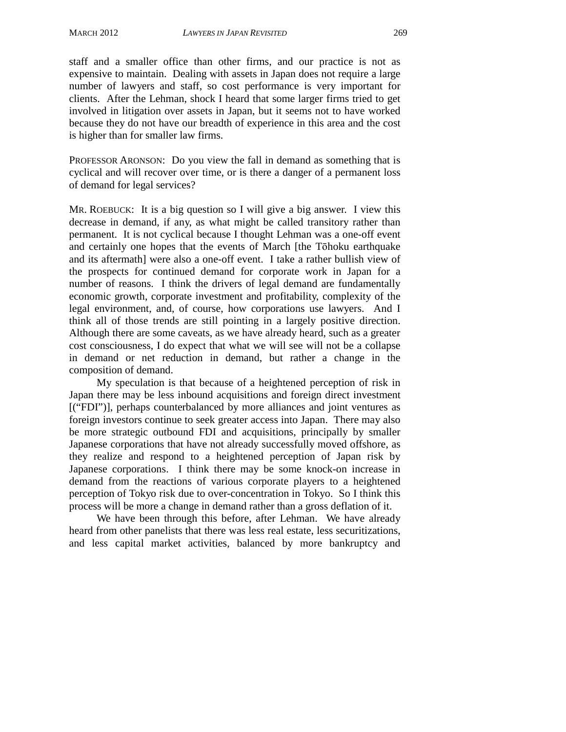staff and a smaller office than other firms, and our practice is not as expensive to maintain. Dealing with assets in Japan does not require a large number of lawyers and staff, so cost performance is very important for clients. After the Lehman, shock I heard that some larger firms tried to get involved in litigation over assets in Japan, but it seems not to have worked because they do not have our breadth of experience in this area and the cost is higher than for smaller law firms.

PROFESSOR ARONSON: Do you view the fall in demand as something that is cyclical and will recover over time, or is there a danger of a permanent loss of demand for legal services?

MR. ROEBUCK: It is a big question so I will give a big answer. I view this decrease in demand, if any, as what might be called transitory rather than permanent. It is not cyclical because I thought Lehman was a one-off event and certainly one hopes that the events of March [the Tōhoku earthquake and its aftermath] were also a one-off event. I take a rather bullish view of the prospects for continued demand for corporate work in Japan for a number of reasons. I think the drivers of legal demand are fundamentally economic growth, corporate investment and profitability, complexity of the legal environment, and, of course, how corporations use lawyers. And I think all of those trends are still pointing in a largely positive direction. Although there are some caveats, as we have already heard, such as a greater cost consciousness, I do expect that what we will see will not be a collapse in demand or net reduction in demand, but rather a change in the composition of demand.

My speculation is that because of a heightened perception of risk in Japan there may be less inbound acquisitions and foreign direct investment [("FDI")], perhaps counterbalanced by more alliances and joint ventures as foreign investors continue to seek greater access into Japan. There may also be more strategic outbound FDI and acquisitions, principally by smaller Japanese corporations that have not already successfully moved offshore, as they realize and respond to a heightened perception of Japan risk by Japanese corporations. I think there may be some knock-on increase in demand from the reactions of various corporate players to a heightened perception of Tokyo risk due to over-concentration in Tokyo. So I think this process will be more a change in demand rather than a gross deflation of it.

We have been through this before, after Lehman. We have already heard from other panelists that there was less real estate, less securitizations, and less capital market activities, balanced by more bankruptcy and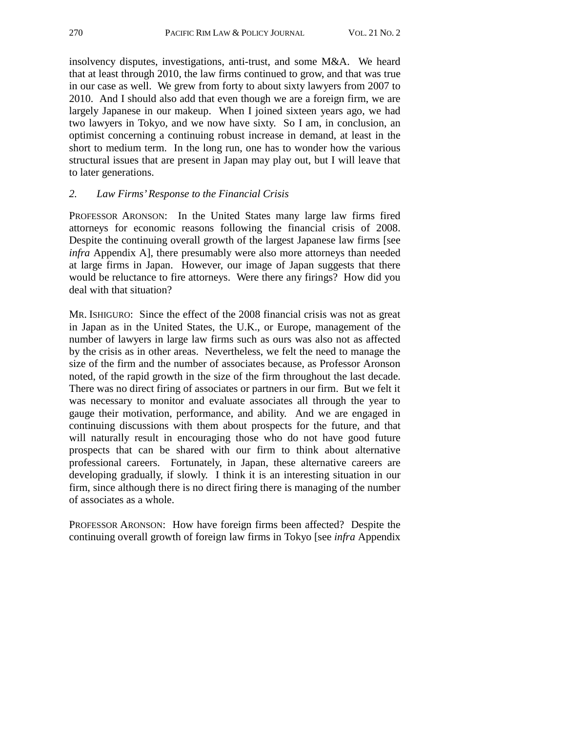insolvency disputes, investigations, anti-trust, and some M&A. We heard that at least through 2010, the law firms continued to grow, and that was true in our case as well. We grew from forty to about sixty lawyers from 2007 to 2010. And I should also add that even though we are a foreign firm, we are largely Japanese in our makeup. When I joined sixteen years ago, we had two lawyers in Tokyo, and we now have sixty. So I am, in conclusion, an optimist concerning a continuing robust increase in demand, at least in the short to medium term. In the long run, one has to wonder how the various structural issues that are present in Japan may play out, but I will leave that to later generations.

#### *2. Law Firms' Response to the Financial Crisis*

PROFESSOR ARONSON: In the United States many large law firms fired attorneys for economic reasons following the financial crisis of 2008. Despite the continuing overall growth of the largest Japanese law firms [see *infra* Appendix A], there presumably were also more attorneys than needed at large firms in Japan. However, our image of Japan suggests that there would be reluctance to fire attorneys. Were there any firings? How did you deal with that situation?

MR. ISHIGURO: Since the effect of the 2008 financial crisis was not as great in Japan as in the United States, the U.K., or Europe, management of the number of lawyers in large law firms such as ours was also not as affected by the crisis as in other areas. Nevertheless, we felt the need to manage the size of the firm and the number of associates because, as Professor Aronson noted, of the rapid growth in the size of the firm throughout the last decade. There was no direct firing of associates or partners in our firm. But we felt it was necessary to monitor and evaluate associates all through the year to gauge their motivation, performance, and ability. And we are engaged in continuing discussions with them about prospects for the future, and that will naturally result in encouraging those who do not have good future prospects that can be shared with our firm to think about alternative professional careers. Fortunately, in Japan, these alternative careers are developing gradually, if slowly. I think it is an interesting situation in our firm, since although there is no direct firing there is managing of the number of associates as a whole.

PROFESSOR ARONSON: How have foreign firms been affected? Despite the continuing overall growth of foreign law firms in Tokyo [see *infra* Appendix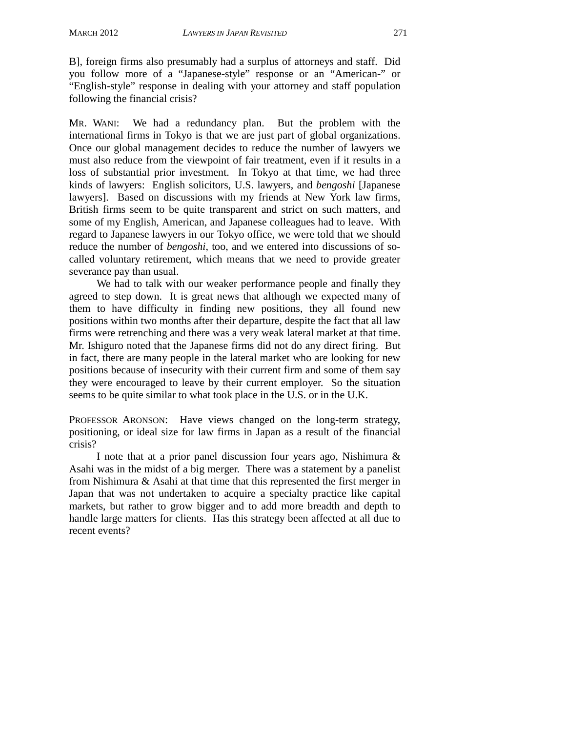B], foreign firms also presumably had a surplus of attorneys and staff. Did you follow more of a "Japanese-style" response or an "American-" or "English-style" response in dealing with your attorney and staff population following the financial crisis?

MR. WANI: We had a redundancy plan. But the problem with the international firms in Tokyo is that we are just part of global organizations. Once our global management decides to reduce the number of lawyers we must also reduce from the viewpoint of fair treatment, even if it results in a loss of substantial prior investment. In Tokyo at that time, we had three kinds of lawyers: English solicitors, U.S. lawyers, and *bengoshi* [Japanese lawyers]. Based on discussions with my friends at New York law firms, British firms seem to be quite transparent and strict on such matters, and some of my English, American, and Japanese colleagues had to leave. With regard to Japanese lawyers in our Tokyo office, we were told that we should reduce the number of *bengoshi*, too, and we entered into discussions of socalled voluntary retirement, which means that we need to provide greater severance pay than usual.

We had to talk with our weaker performance people and finally they agreed to step down. It is great news that although we expected many of them to have difficulty in finding new positions, they all found new positions within two months after their departure, despite the fact that all law firms were retrenching and there was a very weak lateral market at that time. Mr. Ishiguro noted that the Japanese firms did not do any direct firing. But in fact, there are many people in the lateral market who are looking for new positions because of insecurity with their current firm and some of them say they were encouraged to leave by their current employer. So the situation seems to be quite similar to what took place in the U.S. or in the U.K.

PROFESSOR ARONSON: Have views changed on the long-term strategy, positioning, or ideal size for law firms in Japan as a result of the financial crisis?

I note that at a prior panel discussion four years ago, Nishimura & Asahi was in the midst of a big merger. There was a statement by a panelist from Nishimura & Asahi at that time that this represented the first merger in Japan that was not undertaken to acquire a specialty practice like capital markets, but rather to grow bigger and to add more breadth and depth to handle large matters for clients. Has this strategy been affected at all due to recent events?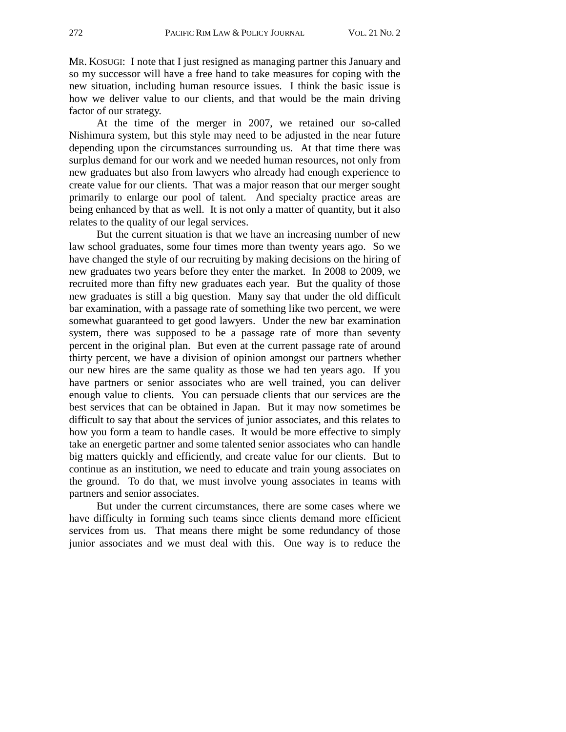MR. KOSUGI: I note that I just resigned as managing partner this January and so my successor will have a free hand to take measures for coping with the new situation, including human resource issues. I think the basic issue is how we deliver value to our clients, and that would be the main driving factor of our strategy.

At the time of the merger in 2007, we retained our so-called Nishimura system, but this style may need to be adjusted in the near future depending upon the circumstances surrounding us. At that time there was surplus demand for our work and we needed human resources, not only from new graduates but also from lawyers who already had enough experience to create value for our clients. That was a major reason that our merger sought primarily to enlarge our pool of talent. And specialty practice areas are being enhanced by that as well. It is not only a matter of quantity, but it also relates to the quality of our legal services.

But the current situation is that we have an increasing number of new law school graduates, some four times more than twenty years ago. So we have changed the style of our recruiting by making decisions on the hiring of new graduates two years before they enter the market. In 2008 to 2009, we recruited more than fifty new graduates each year. But the quality of those new graduates is still a big question. Many say that under the old difficult bar examination, with a passage rate of something like two percent, we were somewhat guaranteed to get good lawyers. Under the new bar examination system, there was supposed to be a passage rate of more than seventy percent in the original plan. But even at the current passage rate of around thirty percent, we have a division of opinion amongst our partners whether our new hires are the same quality as those we had ten years ago. If you have partners or senior associates who are well trained, you can deliver enough value to clients. You can persuade clients that our services are the best services that can be obtained in Japan. But it may now sometimes be difficult to say that about the services of junior associates, and this relates to how you form a team to handle cases. It would be more effective to simply take an energetic partner and some talented senior associates who can handle big matters quickly and efficiently, and create value for our clients. But to continue as an institution, we need to educate and train young associates on the ground. To do that, we must involve young associates in teams with partners and senior associates.

But under the current circumstances, there are some cases where we have difficulty in forming such teams since clients demand more efficient services from us. That means there might be some redundancy of those junior associates and we must deal with this. One way is to reduce the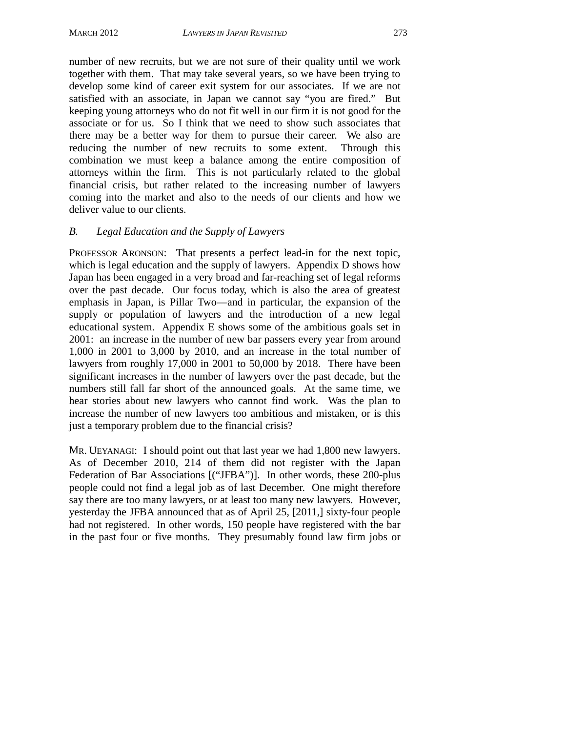number of new recruits, but we are not sure of their quality until we work together with them. That may take several years, so we have been trying to develop some kind of career exit system for our associates. If we are not satisfied with an associate, in Japan we cannot say "you are fired." But keeping young attorneys who do not fit well in our firm it is not good for the associate or for us. So I think that we need to show such associates that there may be a better way for them to pursue their career. We also are reducing the number of new recruits to some extent. Through this combination we must keep a balance among the entire composition of attorneys within the firm. This is not particularly related to the global financial crisis, but rather related to the increasing number of lawyers coming into the market and also to the needs of our clients and how we deliver value to our clients.

#### *B. Legal Education and the Supply of Lawyers*

PROFESSOR ARONSON: That presents a perfect lead-in for the next topic, which is legal education and the supply of lawyers. Appendix D shows how Japan has been engaged in a very broad and far-reaching set of legal reforms over the past decade. Our focus today, which is also the area of greatest emphasis in Japan, is Pillar Two—and in particular, the expansion of the supply or population of lawyers and the introduction of a new legal educational system. Appendix E shows some of the ambitious goals set in 2001: an increase in the number of new bar passers every year from around 1,000 in 2001 to 3,000 by 2010, and an increase in the total number of lawyers from roughly 17,000 in 2001 to 50,000 by 2018. There have been significant increases in the number of lawyers over the past decade, but the numbers still fall far short of the announced goals. At the same time, we hear stories about new lawyers who cannot find work. Was the plan to increase the number of new lawyers too ambitious and mistaken, or is this just a temporary problem due to the financial crisis?

MR. UEYANAGI: I should point out that last year we had 1,800 new lawyers. As of December 2010, 214 of them did not register with the Japan Federation of Bar Associations [("JFBA")]. In other words, these 200-plus people could not find a legal job as of last December. One might therefore say there are too many lawyers, or at least too many new lawyers. However, yesterday the JFBA announced that as of April 25, [2011,] sixty-four people had not registered. In other words, 150 people have registered with the bar in the past four or five months. They presumably found law firm jobs or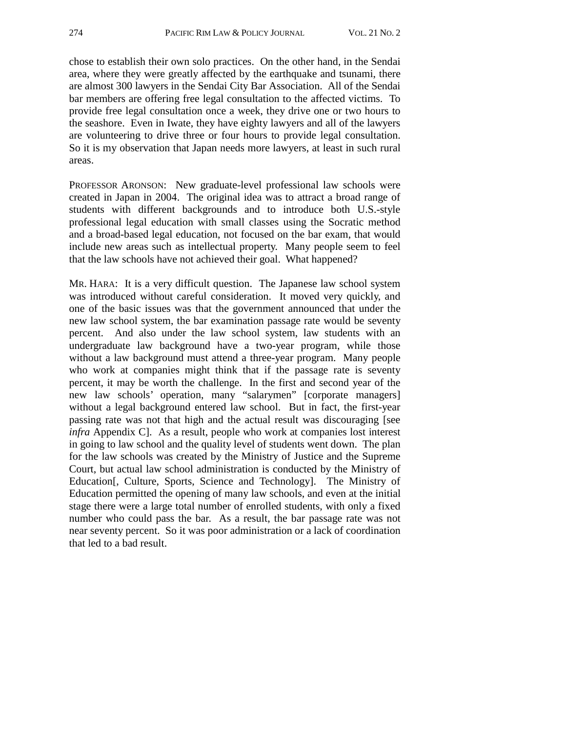chose to establish their own solo practices. On the other hand, in the Sendai area, where they were greatly affected by the earthquake and tsunami, there are almost 300 lawyers in the Sendai City Bar Association. All of the Sendai bar members are offering free legal consultation to the affected victims. To provide free legal consultation once a week, they drive one or two hours to the seashore. Even in Iwate, they have eighty lawyers and all of the lawyers are volunteering to drive three or four hours to provide legal consultation. So it is my observation that Japan needs more lawyers, at least in such rural areas.

PROFESSOR ARONSON: New graduate-level professional law schools were created in Japan in 2004. The original idea was to attract a broad range of students with different backgrounds and to introduce both U.S.-style professional legal education with small classes using the Socratic method and a broad-based legal education, not focused on the bar exam, that would include new areas such as intellectual property. Many people seem to feel that the law schools have not achieved their goal. What happened?

MR. HARA: It is a very difficult question. The Japanese law school system was introduced without careful consideration. It moved very quickly, and one of the basic issues was that the government announced that under the new law school system, the bar examination passage rate would be seventy percent. And also under the law school system, law students with an undergraduate law background have a two-year program, while those without a law background must attend a three-year program. Many people who work at companies might think that if the passage rate is seventy percent, it may be worth the challenge. In the first and second year of the new law schools' operation, many "salarymen" [corporate managers] without a legal background entered law school. But in fact, the first-year passing rate was not that high and the actual result was discouraging [see *infra* Appendix C]. As a result, people who work at companies lost interest in going to law school and the quality level of students went down. The plan for the law schools was created by the Ministry of Justice and the Supreme Court, but actual law school administration is conducted by the Ministry of Education[, Culture, Sports, Science and Technology]. The Ministry of Education permitted the opening of many law schools, and even at the initial stage there were a large total number of enrolled students, with only a fixed number who could pass the bar. As a result, the bar passage rate was not near seventy percent. So it was poor administration or a lack of coordination that led to a bad result.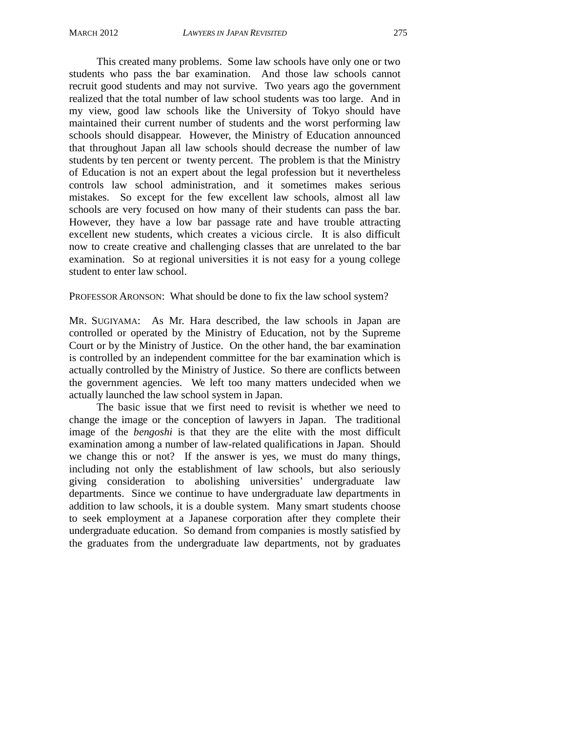This created many problems. Some law schools have only one or two students who pass the bar examination. And those law schools cannot recruit good students and may not survive. Two years ago the government realized that the total number of law school students was too large. And in my view, good law schools like the University of Tokyo should have maintained their current number of students and the worst performing law schools should disappear. However, the Ministry of Education announced that throughout Japan all law schools should decrease the number of law students by ten percent or twenty percent. The problem is that the Ministry of Education is not an expert about the legal profession but it nevertheless controls law school administration, and it sometimes makes serious mistakes. So except for the few excellent law schools, almost all law schools are very focused on how many of their students can pass the bar. However, they have a low bar passage rate and have trouble attracting excellent new students, which creates a vicious circle. It is also difficult now to create creative and challenging classes that are unrelated to the bar examination. So at regional universities it is not easy for a young college student to enter law school.

PROFESSOR ARONSON: What should be done to fix the law school system?

MR. SUGIYAMA: As Mr. Hara described, the law schools in Japan are controlled or operated by the Ministry of Education, not by the Supreme Court or by the Ministry of Justice. On the other hand, the bar examination is controlled by an independent committee for the bar examination which is actually controlled by the Ministry of Justice. So there are conflicts between the government agencies. We left too many matters undecided when we actually launched the law school system in Japan.

The basic issue that we first need to revisit is whether we need to change the image or the conception of lawyers in Japan. The traditional image of the *bengoshi* is that they are the elite with the most difficult examination among a number of law-related qualifications in Japan. Should we change this or not? If the answer is yes, we must do many things, including not only the establishment of law schools, but also seriously giving consideration to abolishing universities' undergraduate law departments. Since we continue to have undergraduate law departments in addition to law schools, it is a double system. Many smart students choose to seek employment at a Japanese corporation after they complete their undergraduate education. So demand from companies is mostly satisfied by the graduates from the undergraduate law departments, not by graduates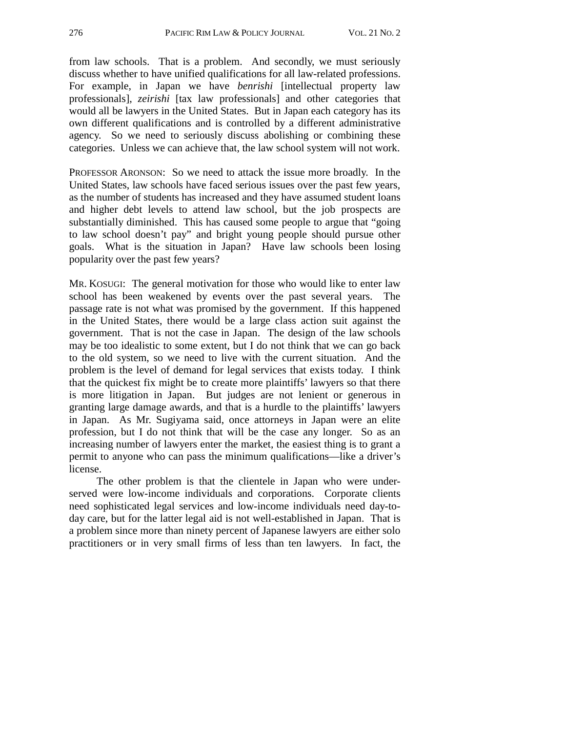from law schools. That is a problem. And secondly, we must seriously discuss whether to have unified qualifications for all law-related professions. For example, in Japan we have *benrishi* [intellectual property law professionals], *zeirishi* [tax law professionals] and other categories that would all be lawyers in the United States. But in Japan each category has its own different qualifications and is controlled by a different administrative agency. So we need to seriously discuss abolishing or combining these categories. Unless we can achieve that, the law school system will not work.

PROFESSOR ARONSON: So we need to attack the issue more broadly. In the United States, law schools have faced serious issues over the past few years, as the number of students has increased and they have assumed student loans and higher debt levels to attend law school, but the job prospects are substantially diminished. This has caused some people to argue that "going to law school doesn't pay" and bright young people should pursue other goals. What is the situation in Japan? Have law schools been losing popularity over the past few years?

MR. KOSUGI: The general motivation for those who would like to enter law school has been weakened by events over the past several years. The passage rate is not what was promised by the government. If this happened in the United States, there would be a large class action suit against the government. That is not the case in Japan. The design of the law schools may be too idealistic to some extent, but I do not think that we can go back to the old system, so we need to live with the current situation. And the problem is the level of demand for legal services that exists today. I think that the quickest fix might be to create more plaintiffs' lawyers so that there is more litigation in Japan. But judges are not lenient or generous in granting large damage awards, and that is a hurdle to the plaintiffs' lawyers in Japan. As Mr. Sugiyama said, once attorneys in Japan were an elite profession, but I do not think that will be the case any longer. So as an increasing number of lawyers enter the market, the easiest thing is to grant a permit to anyone who can pass the minimum qualifications—like a driver's license.

The other problem is that the clientele in Japan who were underserved were low-income individuals and corporations. Corporate clients need sophisticated legal services and low-income individuals need day-today care, but for the latter legal aid is not well-established in Japan. That is a problem since more than ninety percent of Japanese lawyers are either solo practitioners or in very small firms of less than ten lawyers. In fact, the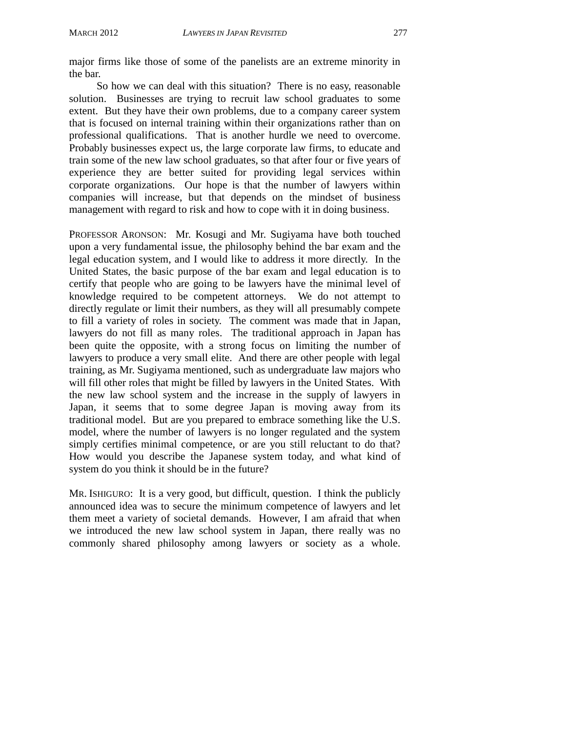major firms like those of some of the panelists are an extreme minority in the bar.

So how we can deal with this situation? There is no easy, reasonable solution. Businesses are trying to recruit law school graduates to some extent. But they have their own problems, due to a company career system that is focused on internal training within their organizations rather than on professional qualifications. That is another hurdle we need to overcome. Probably businesses expect us, the large corporate law firms, to educate and train some of the new law school graduates, so that after four or five years of experience they are better suited for providing legal services within corporate organizations. Our hope is that the number of lawyers within companies will increase, but that depends on the mindset of business management with regard to risk and how to cope with it in doing business.

PROFESSOR ARONSON: Mr. Kosugi and Mr. Sugiyama have both touched upon a very fundamental issue, the philosophy behind the bar exam and the legal education system, and I would like to address it more directly. In the United States, the basic purpose of the bar exam and legal education is to certify that people who are going to be lawyers have the minimal level of knowledge required to be competent attorneys. We do not attempt to directly regulate or limit their numbers, as they will all presumably compete to fill a variety of roles in society. The comment was made that in Japan, lawyers do not fill as many roles. The traditional approach in Japan has been quite the opposite, with a strong focus on limiting the number of lawyers to produce a very small elite. And there are other people with legal training, as Mr. Sugiyama mentioned, such as undergraduate law majors who will fill other roles that might be filled by lawyers in the United States. With the new law school system and the increase in the supply of lawyers in Japan, it seems that to some degree Japan is moving away from its traditional model. But are you prepared to embrace something like the U.S. model, where the number of lawyers is no longer regulated and the system simply certifies minimal competence, or are you still reluctant to do that? How would you describe the Japanese system today, and what kind of system do you think it should be in the future?

MR. ISHIGURO: It is a very good, but difficult, question. I think the publicly announced idea was to secure the minimum competence of lawyers and let them meet a variety of societal demands. However, I am afraid that when we introduced the new law school system in Japan, there really was no commonly shared philosophy among lawyers or society as a whole.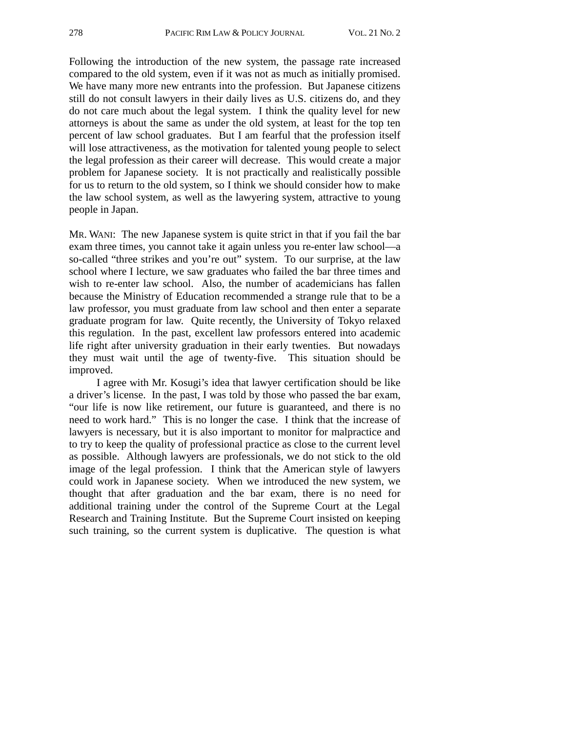Following the introduction of the new system, the passage rate increased compared to the old system, even if it was not as much as initially promised. We have many more new entrants into the profession. But Japanese citizens still do not consult lawyers in their daily lives as U.S. citizens do, and they do not care much about the legal system. I think the quality level for new attorneys is about the same as under the old system, at least for the top ten percent of law school graduates. But I am fearful that the profession itself will lose attractiveness, as the motivation for talented young people to select the legal profession as their career will decrease. This would create a major problem for Japanese society. It is not practically and realistically possible for us to return to the old system, so I think we should consider how to make the law school system, as well as the lawyering system, attractive to young people in Japan.

MR. WANI: The new Japanese system is quite strict in that if you fail the bar exam three times, you cannot take it again unless you re-enter law school—a so-called "three strikes and you're out" system. To our surprise, at the law school where I lecture, we saw graduates who failed the bar three times and wish to re-enter law school. Also, the number of academicians has fallen because the Ministry of Education recommended a strange rule that to be a law professor, you must graduate from law school and then enter a separate graduate program for law. Quite recently, the University of Tokyo relaxed this regulation. In the past, excellent law professors entered into academic life right after university graduation in their early twenties. But nowadays they must wait until the age of twenty-five. This situation should be improved.

I agree with Mr. Kosugi's idea that lawyer certification should be like a driver's license. In the past, I was told by those who passed the bar exam, "our life is now like retirement, our future is guaranteed, and there is no need to work hard." This is no longer the case. I think that the increase of lawyers is necessary, but it is also important to monitor for malpractice and to try to keep the quality of professional practice as close to the current level as possible. Although lawyers are professionals, we do not stick to the old image of the legal profession. I think that the American style of lawyers could work in Japanese society. When we introduced the new system, we thought that after graduation and the bar exam, there is no need for additional training under the control of the Supreme Court at the Legal Research and Training Institute. But the Supreme Court insisted on keeping such training, so the current system is duplicative. The question is what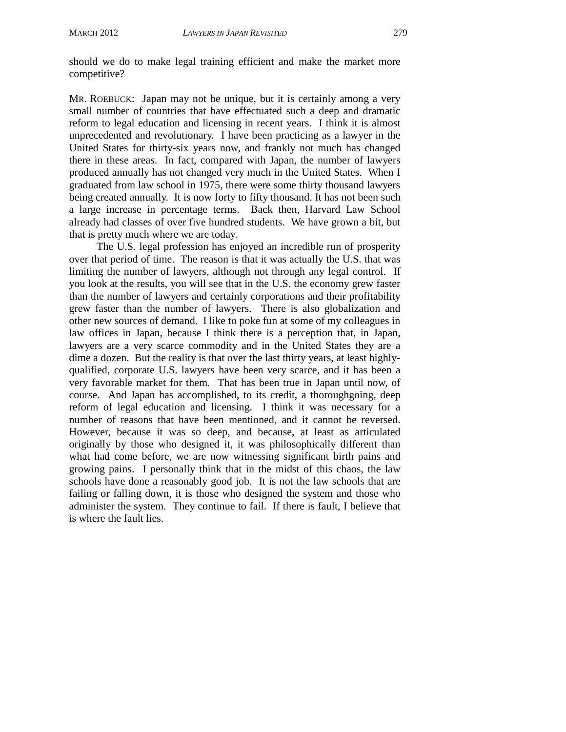should we do to make legal training efficient and make the market more competitive?

MR. ROEBUCK: Japan may not be unique, but it is certainly among a very small number of countries that have effectuated such a deep and dramatic reform to legal education and licensing in recent years. I think it is almost unprecedented and revolutionary. I have been practicing as a lawyer in the United States for thirty-six years now, and frankly not much has changed there in these areas. In fact, compared with Japan, the number of lawyers produced annually has not changed very much in the United States. When I graduated from law school in 1975, there were some thirty thousand lawyers being created annually. It is now forty to fifty thousand. It has not been such a large increase in percentage terms. Back then, Harvard Law School already had classes of over five hundred students. We have grown a bit, but that is pretty much where we are today.

The U.S. legal profession has enjoyed an incredible run of prosperity over that period of time. The reason is that it was actually the U.S. that was limiting the number of lawyers, although not through any legal control. If you look at the results, you will see that in the U.S. the economy grew faster than the number of lawyers and certainly corporations and their profitability grew faster than the number of lawyers. There is also globalization and other new sources of demand. I like to poke fun at some of my colleagues in law offices in Japan, because I think there is a perception that, in Japan, lawyers are a very scarce commodity and in the United States they are a dime a dozen. But the reality is that over the last thirty years, at least highlyqualified, corporate U.S. lawyers have been very scarce, and it has been a very favorable market for them. That has been true in Japan until now, of course. And Japan has accomplished, to its credit, a thoroughgoing, deep reform of legal education and licensing. I think it was necessary for a number of reasons that have been mentioned, and it cannot be reversed. However, because it was so deep, and because, at least as articulated originally by those who designed it, it was philosophically different than what had come before, we are now witnessing significant birth pains and growing pains. I personally think that in the midst of this chaos, the law schools have done a reasonably good job. It is not the law schools that are failing or falling down, it is those who designed the system and those who administer the system. They continue to fail. If there is fault, I believe that is where the fault lies.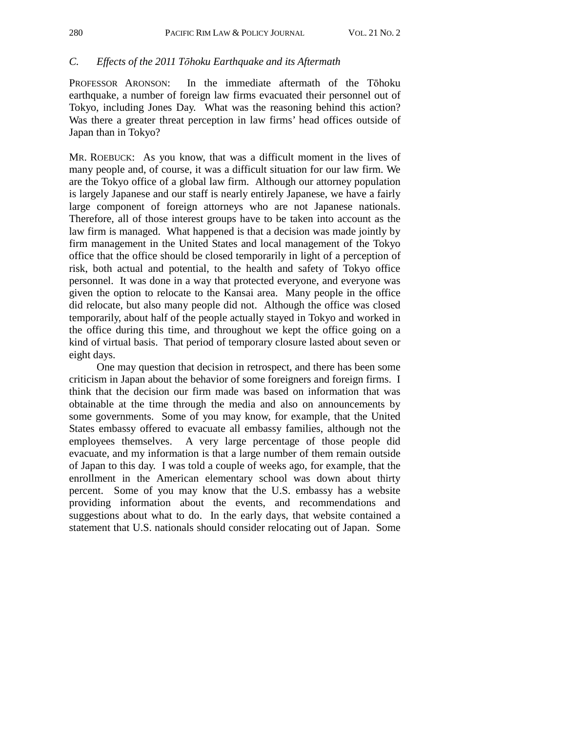#### *C. Effects of the 2011 Tōhoku Earthquake and its Aftermath*

PROFESSOR ARONSON: In the immediate aftermath of the Tōhoku earthquake, a number of foreign law firms evacuated their personnel out of Tokyo, including Jones Day. What was the reasoning behind this action? Was there a greater threat perception in law firms' head offices outside of Japan than in Tokyo?

MR. ROEBUCK: As you know, that was a difficult moment in the lives of many people and, of course, it was a difficult situation for our law firm. We are the Tokyo office of a global law firm. Although our attorney population is largely Japanese and our staff is nearly entirely Japanese, we have a fairly large component of foreign attorneys who are not Japanese nationals. Therefore, all of those interest groups have to be taken into account as the law firm is managed. What happened is that a decision was made jointly by firm management in the United States and local management of the Tokyo office that the office should be closed temporarily in light of a perception of risk, both actual and potential, to the health and safety of Tokyo office personnel. It was done in a way that protected everyone, and everyone was given the option to relocate to the Kansai area. Many people in the office did relocate, but also many people did not. Although the office was closed temporarily, about half of the people actually stayed in Tokyo and worked in the office during this time, and throughout we kept the office going on a kind of virtual basis. That period of temporary closure lasted about seven or eight days.

One may question that decision in retrospect, and there has been some criticism in Japan about the behavior of some foreigners and foreign firms. I think that the decision our firm made was based on information that was obtainable at the time through the media and also on announcements by some governments. Some of you may know, for example, that the United States embassy offered to evacuate all embassy families, although not the employees themselves. A very large percentage of those people did evacuate, and my information is that a large number of them remain outside of Japan to this day. I was told a couple of weeks ago, for example, that the enrollment in the American elementary school was down about thirty percent. Some of you may know that the U.S. embassy has a website providing information about the events, and recommendations and suggestions about what to do. In the early days, that website contained a statement that U.S. nationals should consider relocating out of Japan. Some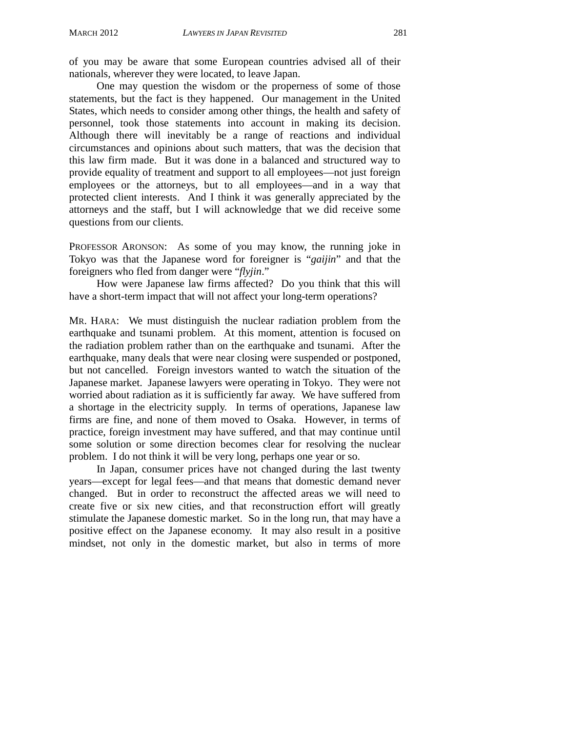of you may be aware that some European countries advised all of their nationals, wherever they were located, to leave Japan.

One may question the wisdom or the properness of some of those statements, but the fact is they happened. Our management in the United States, which needs to consider among other things, the health and safety of personnel, took those statements into account in making its decision. Although there will inevitably be a range of reactions and individual circumstances and opinions about such matters, that was the decision that this law firm made. But it was done in a balanced and structured way to provide equality of treatment and support to all employees—not just foreign employees or the attorneys, but to all employees—and in a way that protected client interests. And I think it was generally appreciated by the attorneys and the staff, but I will acknowledge that we did receive some questions from our clients.

PROFESSOR ARONSON: As some of you may know, the running joke in Tokyo was that the Japanese word for foreigner is "*gaijin*" and that the foreigners who fled from danger were "*flyjin*."

How were Japanese law firms affected? Do you think that this will have a short-term impact that will not affect your long-term operations?

MR. HARA: We must distinguish the nuclear radiation problem from the earthquake and tsunami problem. At this moment, attention is focused on the radiation problem rather than on the earthquake and tsunami. After the earthquake, many deals that were near closing were suspended or postponed, but not cancelled. Foreign investors wanted to watch the situation of the Japanese market. Japanese lawyers were operating in Tokyo. They were not worried about radiation as it is sufficiently far away. We have suffered from a shortage in the electricity supply. In terms of operations, Japanese law firms are fine, and none of them moved to Osaka. However, in terms of practice, foreign investment may have suffered, and that may continue until some solution or some direction becomes clear for resolving the nuclear problem. I do not think it will be very long, perhaps one year or so.

In Japan, consumer prices have not changed during the last twenty years—except for legal fees—and that means that domestic demand never changed. But in order to reconstruct the affected areas we will need to create five or six new cities, and that reconstruction effort will greatly stimulate the Japanese domestic market. So in the long run, that may have a positive effect on the Japanese economy. It may also result in a positive mindset, not only in the domestic market, but also in terms of more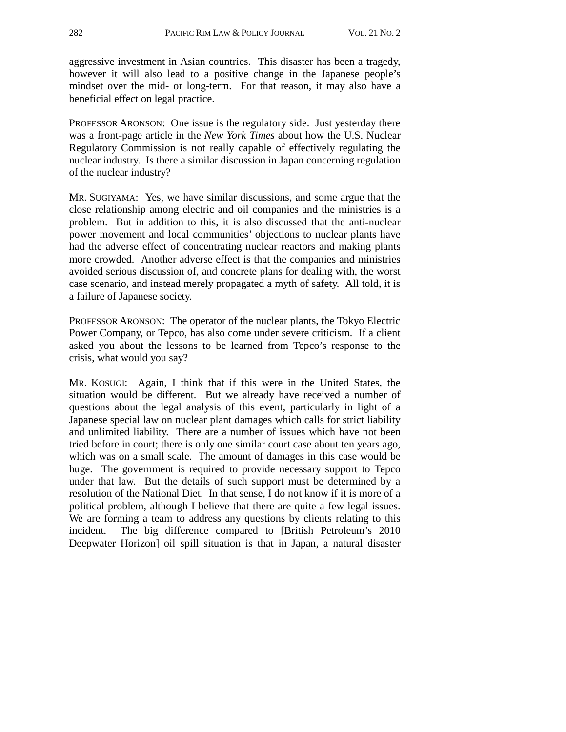aggressive investment in Asian countries. This disaster has been a tragedy, however it will also lead to a positive change in the Japanese people's mindset over the mid- or long-term. For that reason, it may also have a beneficial effect on legal practice.

PROFESSOR ARONSON: One issue is the regulatory side. Just yesterday there was a front-page article in the *New York Times* about how the U.S. Nuclear Regulatory Commission is not really capable of effectively regulating the nuclear industry. Is there a similar discussion in Japan concerning regulation of the nuclear industry?

MR. SUGIYAMA: Yes, we have similar discussions, and some argue that the close relationship among electric and oil companies and the ministries is a problem. But in addition to this, it is also discussed that the anti-nuclear power movement and local communities' objections to nuclear plants have had the adverse effect of concentrating nuclear reactors and making plants more crowded. Another adverse effect is that the companies and ministries avoided serious discussion of, and concrete plans for dealing with, the worst case scenario, and instead merely propagated a myth of safety. All told, it is a failure of Japanese society.

PROFESSOR ARONSON: The operator of the nuclear plants, the Tokyo Electric Power Company, or Tepco, has also come under severe criticism. If a client asked you about the lessons to be learned from Tepco's response to the crisis, what would you say?

MR. KOSUGI: Again, I think that if this were in the United States, the situation would be different. But we already have received a number of questions about the legal analysis of this event, particularly in light of a Japanese special law on nuclear plant damages which calls for strict liability and unlimited liability. There are a number of issues which have not been tried before in court; there is only one similar court case about ten years ago, which was on a small scale. The amount of damages in this case would be huge. The government is required to provide necessary support to Tepco under that law. But the details of such support must be determined by a resolution of the National Diet. In that sense, I do not know if it is more of a political problem, although I believe that there are quite a few legal issues. We are forming a team to address any questions by clients relating to this incident. The big difference compared to [British Petroleum's 2010 Deepwater Horizon] oil spill situation is that in Japan, a natural disaster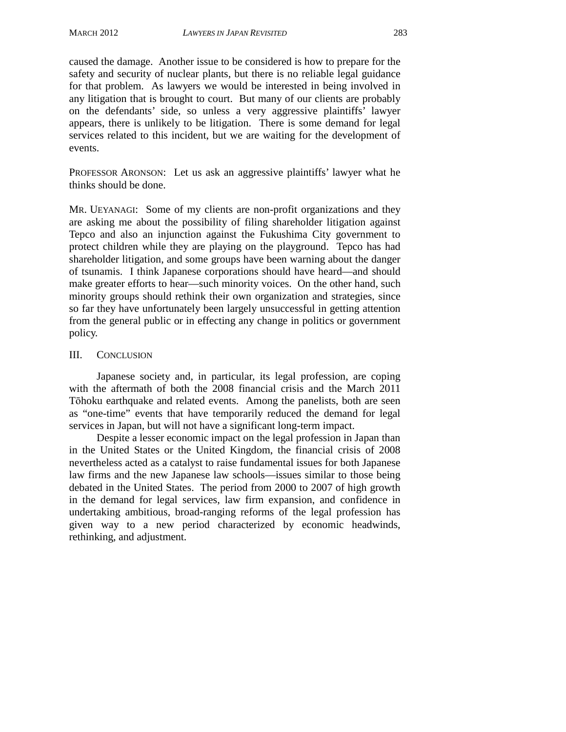caused the damage. Another issue to be considered is how to prepare for the safety and security of nuclear plants, but there is no reliable legal guidance for that problem. As lawyers we would be interested in being involved in any litigation that is brought to court. But many of our clients are probably on the defendants' side, so unless a very aggressive plaintiffs' lawyer appears, there is unlikely to be litigation. There is some demand for legal services related to this incident, but we are waiting for the development of events.

PROFESSOR ARONSON: Let us ask an aggressive plaintiffs' lawyer what he thinks should be done.

MR. UEYANAGI: Some of my clients are non-profit organizations and they are asking me about the possibility of filing shareholder litigation against Tepco and also an injunction against the Fukushima City government to protect children while they are playing on the playground. Tepco has had shareholder litigation, and some groups have been warning about the danger of tsunamis. I think Japanese corporations should have heard—and should make greater efforts to hear—such minority voices. On the other hand, such minority groups should rethink their own organization and strategies, since so far they have unfortunately been largely unsuccessful in getting attention from the general public or in effecting any change in politics or government policy.

#### III. CONCLUSION

Japanese society and, in particular, its legal profession, are coping with the aftermath of both the 2008 financial crisis and the March 2011 Tōhoku earthquake and related events. Among the panelists, both are seen as "one-time" events that have temporarily reduced the demand for legal services in Japan, but will not have a significant long-term impact.

Despite a lesser economic impact on the legal profession in Japan than in the United States or the United Kingdom, the financial crisis of 2008 nevertheless acted as a catalyst to raise fundamental issues for both Japanese law firms and the new Japanese law schools—issues similar to those being debated in the United States. The period from 2000 to 2007 of high growth in the demand for legal services, law firm expansion, and confidence in undertaking ambitious, broad-ranging reforms of the legal profession has given way to a new period characterized by economic headwinds, rethinking, and adjustment.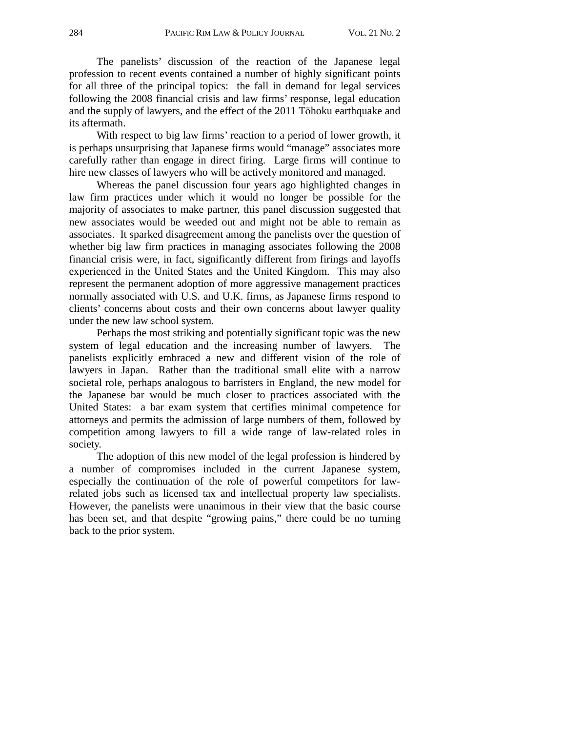The panelists' discussion of the reaction of the Japanese legal profession to recent events contained a number of highly significant points for all three of the principal topics: the fall in demand for legal services following the 2008 financial crisis and law firms' response, legal education and the supply of lawyers, and the effect of the 2011 Tōhoku earthquake and its aftermath.

With respect to big law firms' reaction to a period of lower growth, it is perhaps unsurprising that Japanese firms would "manage" associates more carefully rather than engage in direct firing. Large firms will continue to hire new classes of lawyers who will be actively monitored and managed.

Whereas the panel discussion four years ago highlighted changes in law firm practices under which it would no longer be possible for the majority of associates to make partner, this panel discussion suggested that new associates would be weeded out and might not be able to remain as associates. It sparked disagreement among the panelists over the question of whether big law firm practices in managing associates following the 2008 financial crisis were, in fact, significantly different from firings and layoffs experienced in the United States and the United Kingdom. This may also represent the permanent adoption of more aggressive management practices normally associated with U.S. and U.K. firms, as Japanese firms respond to clients' concerns about costs and their own concerns about lawyer quality under the new law school system.

Perhaps the most striking and potentially significant topic was the new system of legal education and the increasing number of lawyers. The panelists explicitly embraced a new and different vision of the role of lawyers in Japan. Rather than the traditional small elite with a narrow societal role, perhaps analogous to barristers in England, the new model for the Japanese bar would be much closer to practices associated with the United States: a bar exam system that certifies minimal competence for attorneys and permits the admission of large numbers of them, followed by competition among lawyers to fill a wide range of law-related roles in society.

The adoption of this new model of the legal profession is hindered by a number of compromises included in the current Japanese system, especially the continuation of the role of powerful competitors for lawrelated jobs such as licensed tax and intellectual property law specialists. However, the panelists were unanimous in their view that the basic course has been set, and that despite "growing pains," there could be no turning back to the prior system.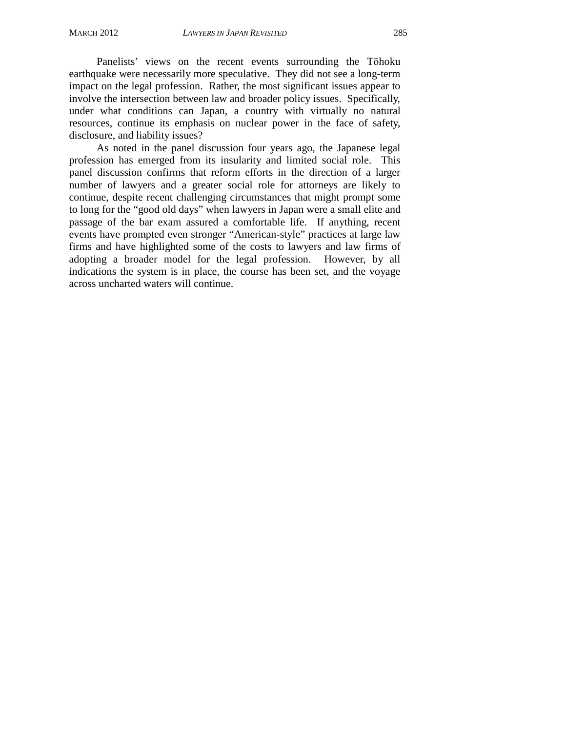Panelists' views on the recent events surrounding the Tōhoku earthquake were necessarily more speculative. They did not see a long-term impact on the legal profession. Rather, the most significant issues appear to involve the intersection between law and broader policy issues. Specifically, under what conditions can Japan, a country with virtually no natural resources, continue its emphasis on nuclear power in the face of safety, disclosure, and liability issues?

As noted in the panel discussion four years ago, the Japanese legal profession has emerged from its insularity and limited social role. This panel discussion confirms that reform efforts in the direction of a larger number of lawyers and a greater social role for attorneys are likely to continue, despite recent challenging circumstances that might prompt some to long for the "good old days" when lawyers in Japan were a small elite and passage of the bar exam assured a comfortable life. If anything, recent events have prompted even stronger "American-style" practices at large law firms and have highlighted some of the costs to lawyers and law firms of adopting a broader model for the legal profession. However, by all indications the system is in place, the course has been set, and the voyage across uncharted waters will continue.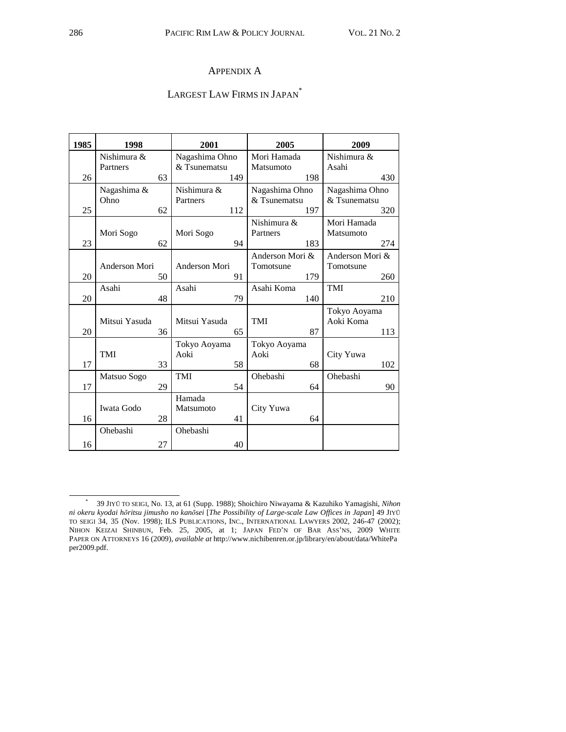#### APPENDIX A

## LARGEST LAW FIRMS IN JAPAN<sup>\*</sup>

| 1985 | 1998          |    | 2001           |     | 2005            |     | 2009            |     |
|------|---------------|----|----------------|-----|-----------------|-----|-----------------|-----|
|      | Nishimura &   |    | Nagashima Ohno |     | Mori Hamada     |     | Nishimura &     |     |
|      | Partners      |    | & Tsunematsu   |     | Matsumoto       |     | Asahi           |     |
| 26   |               | 63 |                | 149 |                 | 198 |                 | 430 |
|      | Nagashima &   |    | Nishimura &    |     | Nagashima Ohno  |     | Nagashima Ohno  |     |
|      | Ohno          |    | Partners       |     | & Tsunematsu    |     | & Tsunematsu    |     |
| 25   |               | 62 |                | 112 |                 | 197 |                 | 320 |
|      |               |    |                |     | Nishimura &     |     | Mori Hamada     |     |
|      | Mori Sogo     |    | Mori Sogo      |     | Partners        |     | Matsumoto       |     |
| 23   |               | 62 |                | 94  |                 | 183 |                 | 274 |
|      |               |    |                |     | Anderson Mori & |     | Anderson Mori & |     |
|      | Anderson Mori |    | Anderson Mori  |     | Tomotsune       |     | Tomotsune       |     |
| 20   |               | 50 |                | 91  |                 | 179 |                 | 260 |
|      | Asahi         |    | Asahi          |     | Asahi Koma      |     | <b>TMI</b>      |     |
| 20   |               | 48 |                | 79  |                 | 140 |                 | 210 |
|      |               |    |                |     |                 |     | Tokyo Aoyama    |     |
|      | Mitsui Yasuda |    | Mitsui Yasuda  |     | <b>TMI</b>      |     | Aoki Koma       |     |
| 20   |               | 36 |                | 65  |                 | 87  |                 | 113 |
|      |               |    | Tokyo Aoyama   |     | Tokyo Aoyama    |     |                 |     |
|      | TMI           |    | Aoki           |     | Aoki            |     | City Yuwa       |     |
| 17   |               | 33 |                | 58  |                 | 68  |                 | 102 |
|      | Matsuo Sogo   |    | TMI            |     | Ohebashi        |     | Ohebashi        |     |
| 17   |               | 29 |                | 54  |                 | 64  |                 | 90  |
|      |               |    | Hamada         |     |                 |     |                 |     |
|      | Iwata Godo    |    | Matsumoto      |     | City Yuwa       |     |                 |     |
| 16   |               | 28 |                | 41  |                 | 64  |                 |     |
|      | Ohebashi      |    | Ohebashi       |     |                 |     |                 |     |
| 16   |               | 27 |                | 40  |                 |     |                 |     |

 $\ast$  39 JIYŪ TO SEIGI, No. 13, at 61 (Supp. 1988); Shoichiro Niwayama & Kazuhiko Yamagishi, *Nihon ni okeru kyodai hōritsu jimusho no kanōsei* [*The Possibility of Large-scale Law Offices in Japan*] 49 JIYŪ TO SEIGI 34, 35 (Nov. 1998); ILS PUBLICATIONS, INC., INTERNATIONAL LAWYERS 2002, 246-47 (2002); NIHON KEIZAI SHINBUN, Feb. 25, 2005, at 1; JAPAN FED'N OF BAR ASS'NS, 2009 WHITE PAPER ON ATTORNEYS 16 (2009), *available at* http://www.nichibenren.or.jp/library/en/about/data/WhitePa per2009.pdf.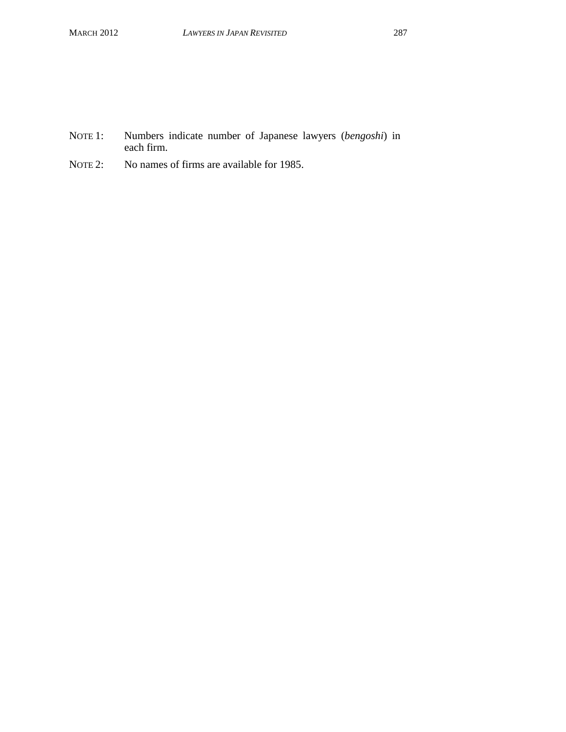- NOTE 1: Numbers indicate number of Japanese lawyers (*bengoshi*) in each firm.
- NOTE 2: No names of firms are available for 1985.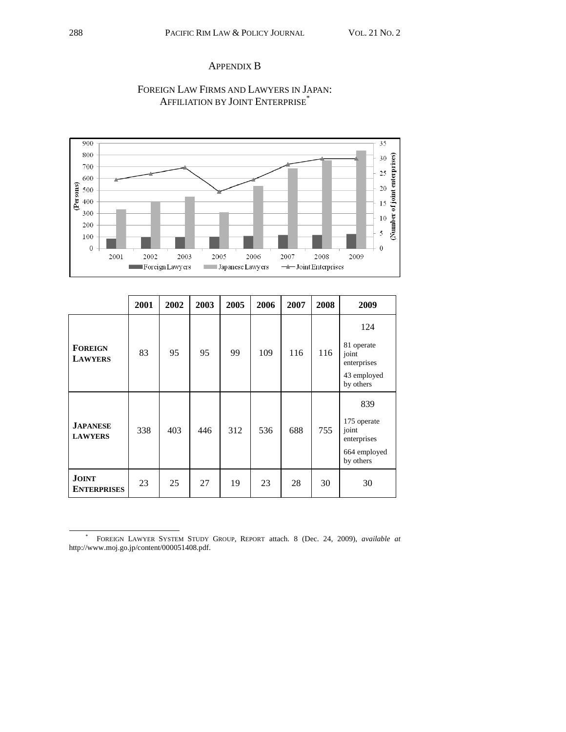#### APPENDIX B



## FOREIGN LAW FIRMS AND LAWYERS IN JAPAN: AFFILIATION BY JOINT ENTERPRISE<sup>\*</sup>

|                                    | 2001 | 2002 | 2003 | 2005 | 2006 | 2007 | 2008 | 2009                                |
|------------------------------------|------|------|------|------|------|------|------|-------------------------------------|
|                                    |      |      |      |      |      |      |      | 124                                 |
| <b>FOREIGN</b><br><b>LAWYERS</b>   | 83   | 95   | 95   | 99   | 109  | 116  | 116  | 81 operate<br>joint<br>enterprises  |
|                                    |      |      |      |      |      |      |      | 43 employed<br>by others            |
|                                    |      |      |      |      |      |      |      | 839                                 |
| <b>JAPANESE</b><br><b>LAWYERS</b>  | 338  | 403  | 446  | 312  | 536  | 688  | 755  | 175 operate<br>joint<br>enterprises |
|                                    |      |      |      |      |      |      |      | 664 employed<br>by others           |
| <b>JOINT</b><br><b>ENTERPRISES</b> | 23   | 25   | 27   | 19   | 23   | 28   | 30   | 30                                  |

 <sup>\*</sup> FOREIGN LAWYER SYSTEM STUDY GROUP, REPORT attach. 8 (Dec. 24, 2009), *available at* http://www.moj.go.jp/content/000051408.pdf.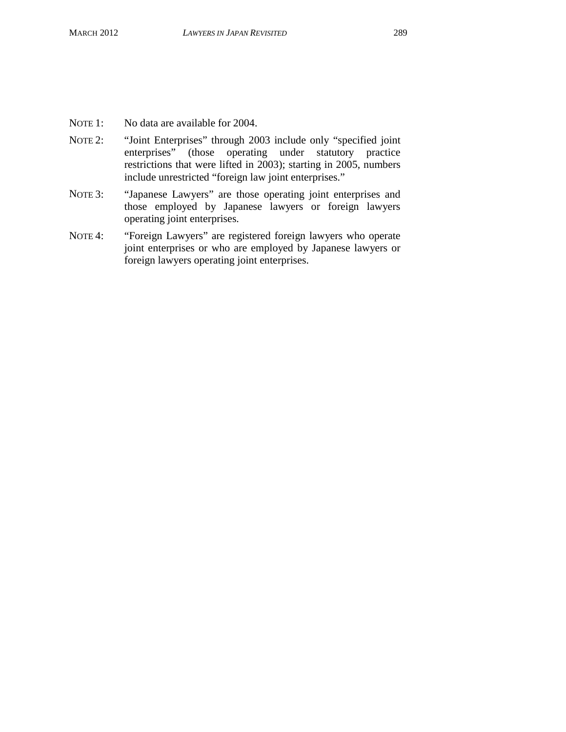- NOTE 1: No data are available for 2004.
- NOTE 2: "Joint Enterprises" through 2003 include only "specified joint enterprises" (those operating under statutory practice restrictions that were lifted in 2003); starting in 2005, numbers include unrestricted "foreign law joint enterprises."
- NOTE 3: "Japanese Lawyers" are those operating joint enterprises and those employed by Japanese lawyers or foreign lawyers operating joint enterprises.
- NOTE 4: "Foreign Lawyers" are registered foreign lawyers who operate joint enterprises or who are employed by Japanese lawyers or foreign lawyers operating joint enterprises.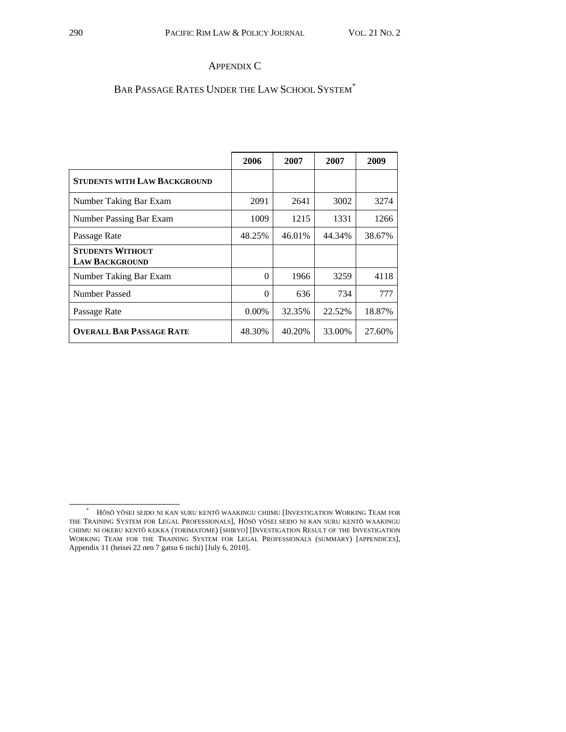#### APPENDIX C

## BAR PASSAGE RATES UNDER THE LAW SCHOOL SYSTEM\*

|                                                  | 2006     | 2007   | 2007   | 2009   |
|--------------------------------------------------|----------|--------|--------|--------|
| <b>STUDENTS WITH LAW BACKGROUND</b>              |          |        |        |        |
| Number Taking Bar Exam                           | 2091     | 2641   | 3002   | 3274   |
| Number Passing Bar Exam                          | 1009     | 1215   | 1331   | 1266   |
| Passage Rate                                     | 48.25%   | 46.01% | 44.34% | 38.67% |
| <b>STUDENTS WITHOUT</b><br><b>LAW BACKGROUND</b> |          |        |        |        |
| Number Taking Bar Exam                           | $\Omega$ | 1966   | 3259   | 4118   |
| Number Passed                                    | $\Omega$ | 636    | 734    | 777    |
| Passage Rate                                     | $0.00\%$ | 32.35% | 22.52% | 18.87% |
| <b>OVERALL BAR PASSAGE RATE</b>                  | 48.30%   | 40.20% | 33.00% | 27.60% |

 $\ast$  HŌSŌ YŌSEI SEIDO NI KAN SURU KENTŌ WAAKINGU CHIIMU [INVESTIGATION WORKING TEAM FOR THE TRAINING SYSTEM FOR LEGAL PROFESSIONALS], HŌSŌ YŌSEI SEIDO NI KAN SURU KENTŌ WAAKINGU CHIIMU NI OKERU KENTŌ KEKKA (TORIMATOME) [SHIRYO] [INVESTIGATION RESULT OF THE INVESTIGATION WORKING TEAM FOR THE TRAINING SYSTEM FOR LEGAL PROFESSIONALS (SUMMARY) [APPENDICES], Appendix 11 (heisei 22 nen 7 gatsu 6 nichi) [July 6, 2010].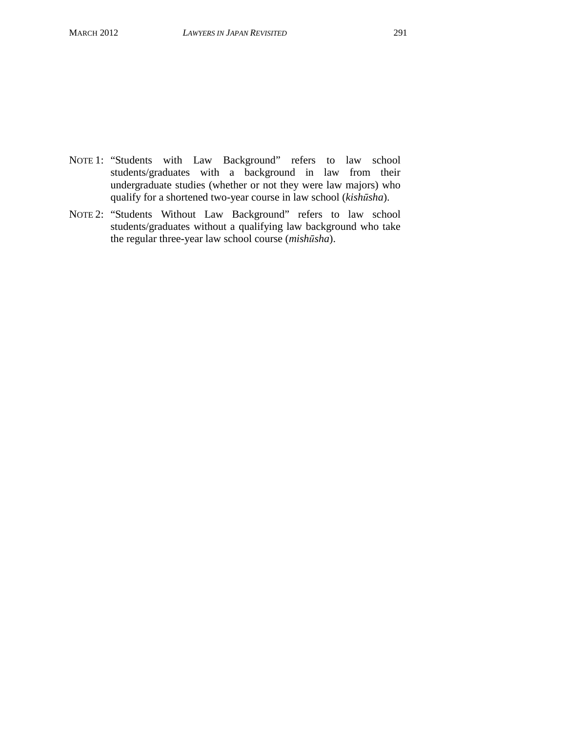- NOTE 1: "Students with Law Background" refers to law school students/graduates with a background in law from their undergraduate studies (whether or not they were law majors) who qualify for a shortened two-year course in law school (*kishūsha*).
- NOTE 2: "Students Without Law Background" refers to law school students/graduates without a qualifying law background who take the regular three-year law school course (*mishūsha*).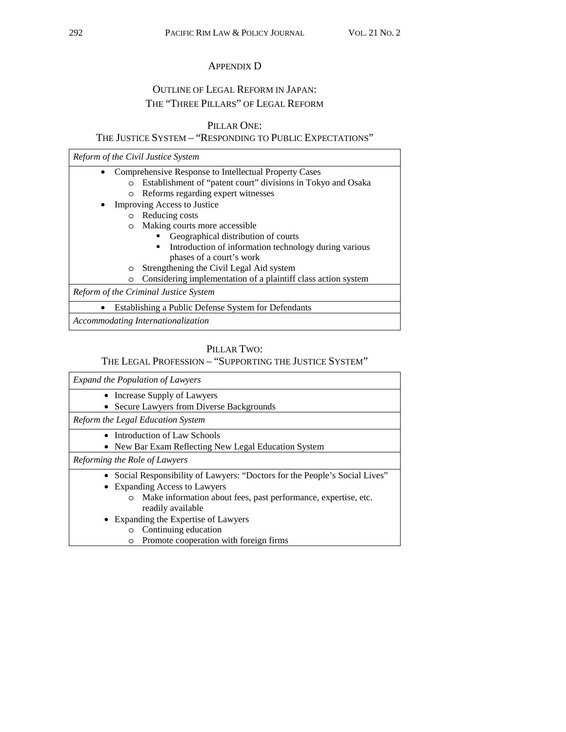#### APPENDIX D

# OUTLINE OF LEGAL REFORM IN JAPAN: THE "THREE PILLARS" OF LEGAL REFORM

### PILLAR ONE:

## THE JUSTICE SYSTEM – "RESPONDING TO PUBLIC EXPECTATIONS"

| Reform of the Civil Justice System                                       |  |  |  |  |  |
|--------------------------------------------------------------------------|--|--|--|--|--|
| Comprehensive Response to Intellectual Property Cases                    |  |  |  |  |  |
| Establishment of "patent court" divisions in Tokyo and Osaka<br>$\circ$  |  |  |  |  |  |
| Reforms regarding expert witnesses<br>$\circ$                            |  |  |  |  |  |
| Improving Access to Justice                                              |  |  |  |  |  |
| Reducing costs<br>$\circ$                                                |  |  |  |  |  |
| Making courts more accessible.<br>$\circ$                                |  |  |  |  |  |
| Geographical distribution of courts                                      |  |  |  |  |  |
| Introduction of information technology during various<br>٠               |  |  |  |  |  |
| phases of a court's work                                                 |  |  |  |  |  |
| Strengthening the Civil Legal Aid system<br>$\circ$                      |  |  |  |  |  |
| Considering implementation of a plaintiff class action system<br>$\circ$ |  |  |  |  |  |
| Reform of the Criminal Justice System                                    |  |  |  |  |  |
| Establishing a Public Defense System for Defendants                      |  |  |  |  |  |
| Accommodating Internationalization                                       |  |  |  |  |  |

# PILLAR TWO:

# THE LEGAL PROFESSION – "SUPPORTING THE JUSTICE SYSTEM"

| <b>Expand the Population of Lawyers</b>                                   |
|---------------------------------------------------------------------------|
| • Increase Supply of Lawyers                                              |
| Secure Lawyers from Diverse Backgrounds                                   |
| Reform the Legal Education System                                         |
| • Introduction of Law Schools                                             |
| • New Bar Exam Reflecting New Legal Education System                      |
| Reforming the Role of Lawyers                                             |
| Social Responsibility of Lawyers: "Doctors for the People's Social Lives" |
| • Expanding Access to Lawyers                                             |
| Make information about fees, past performance, expertise, etc.<br>$\circ$ |
| readily available                                                         |
| • Expanding the Expertise of Lawyers                                      |
| Continuing education<br>$\circ$                                           |
| Promote cooperation with foreign firms<br>$\circ$                         |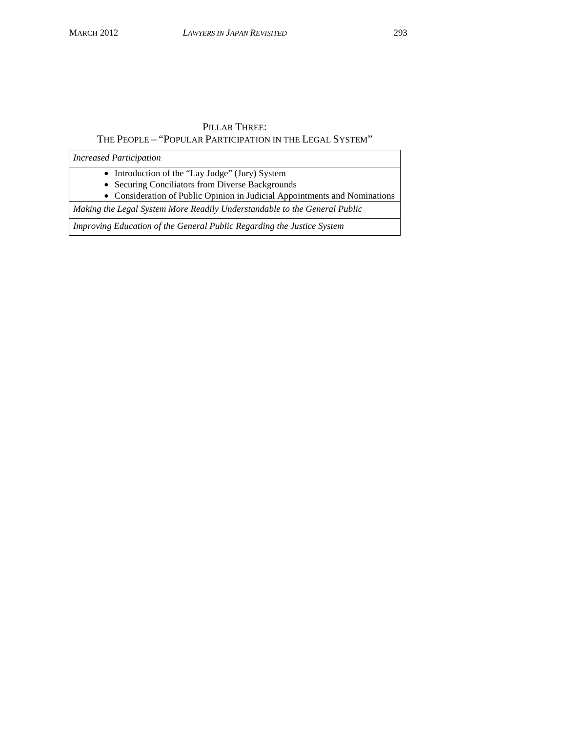#### PILLAR THREE: THE PEOPLE – "POPULAR PARTICIPATION IN THE LEGAL SYSTEM"

*Increased Participation* 

• Introduction of the "Lay Judge" (Jury) System

• Securing Conciliators from Diverse Backgrounds

• Consideration of Public Opinion in Judicial Appointments and Nominations

*Making the Legal System More Readily Understandable to the General Public* 

*Improving Education of the General Public Regarding the Justice System*